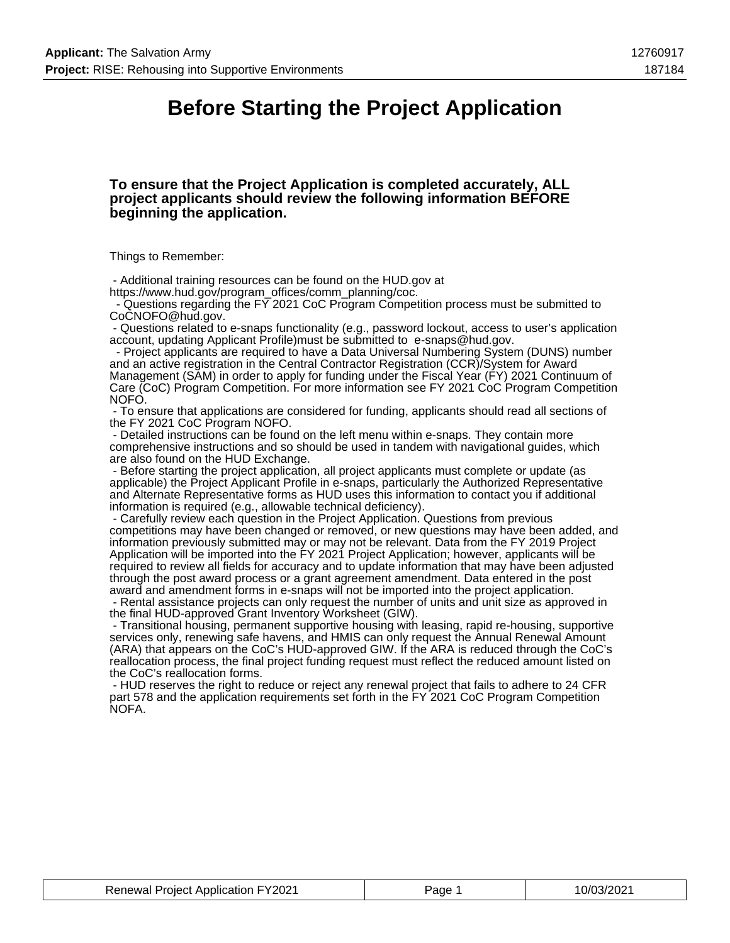### **Before Starting the Project Application**

#### **To ensure that the Project Application is completed accurately, ALL project applicants should review the following information BEFORE beginning the application.**

Things to Remember:

 - Additional training resources can be found on the HUD.gov at https://www.hud.gov/program\_offices/comm\_planning/coc.

 - Questions regarding the FY 2021 CoC Program Competition process must be submitted to CoCNOFO@hud.gov.

 - Questions related to e-snaps functionality (e.g., password lockout, access to user's application account, updating Applicant Profile)must be submitted to e-snaps@hud.gov.

 - Project applicants are required to have a Data Universal Numbering System (DUNS) number and an active registration in the Central Contractor Registration (CCR)/System for Award Management (SAM) in order to apply for funding under the Fiscal Year (FY) 2021 Continuum of Care (CoC) Program Competition. For more information see FY 2021 CoC Program Competition NOFO.

 - To ensure that applications are considered for funding, applicants should read all sections of the FY 2021 CoC Program NOFO.

 - Detailed instructions can be found on the left menu within e-snaps. They contain more comprehensive instructions and so should be used in tandem with navigational guides, which are also found on the HUD Exchange.

 - Before starting the project application, all project applicants must complete or update (as applicable) the Project Applicant Profile in e-snaps, particularly the Authorized Representative and Alternate Representative forms as HUD uses this information to contact you if additional information is required (e.g., allowable technical deficiency).

 - Carefully review each question in the Project Application. Questions from previous competitions may have been changed or removed, or new questions may have been added, and information previously submitted may or may not be relevant. Data from the FY 2019 Project Application will be imported into the FY 2021 Project Application; however, applicants will be required to review all fields for accuracy and to update information that may have been adjusted through the post award process or a grant agreement amendment. Data entered in the post award and amendment forms in e-snaps will not be imported into the project application.

 - Rental assistance projects can only request the number of units and unit size as approved in the final HUD-approved Grant Inventory Worksheet (GIW).

 - Transitional housing, permanent supportive housing with leasing, rapid re-housing, supportive services only, renewing safe havens, and HMIS can only request the Annual Renewal Amount (ARA) that appears on the CoC's HUD-approved GIW. If the ARA is reduced through the CoC's reallocation process, the final project funding request must reflect the reduced amount listed on the CoC's reallocation forms.

 - HUD reserves the right to reduce or reject any renewal project that fails to adhere to 24 CFR part 578 and the application requirements set forth in the FY 2021 CoC Program Competition NOFA.

| <b>Renewal Project Application FY2021</b> | Page | 10/03/2021 |
|-------------------------------------------|------|------------|
|-------------------------------------------|------|------------|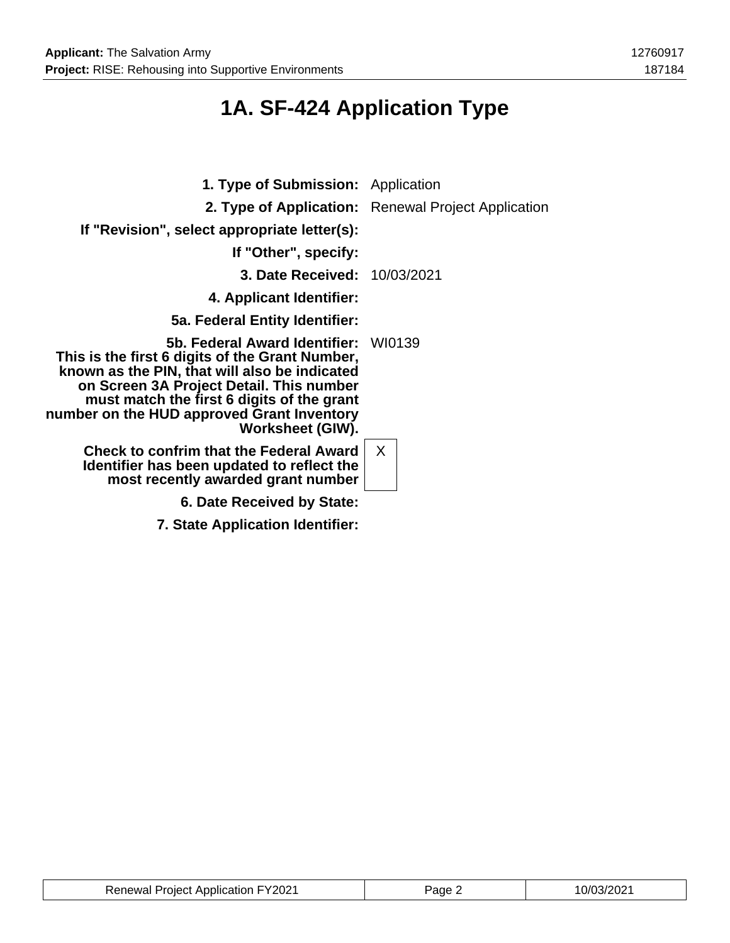# **1A. SF-424 Application Type**

| <b>1. Type of Submission:</b> Application                                                                                                                                                                                                                                                            |                                                     |
|------------------------------------------------------------------------------------------------------------------------------------------------------------------------------------------------------------------------------------------------------------------------------------------------------|-----------------------------------------------------|
|                                                                                                                                                                                                                                                                                                      | 2. Type of Application: Renewal Project Application |
| If "Revision", select appropriate letter(s):                                                                                                                                                                                                                                                         |                                                     |
| If "Other", specify:                                                                                                                                                                                                                                                                                 |                                                     |
| <b>3. Date Received: 10/03/2021</b>                                                                                                                                                                                                                                                                  |                                                     |
| 4. Applicant Identifier:                                                                                                                                                                                                                                                                             |                                                     |
| 5a. Federal Entity Identifier:                                                                                                                                                                                                                                                                       |                                                     |
| 5b. Federal Award Identifier:<br>This is the first 6 digits of the Grant Number,<br>known as the PIN, that will also be indicated<br>on Screen 3A Project Detail. This number<br>must match the first 6 digits of the grant<br>number on the HUD approved Grant Inventory<br><b>Worksheet (GIW).</b> | WI0139                                              |
| <b>Check to confrim that the Federal Award</b><br>Identifier has been updated to reflect the<br>most recently awarded grant number                                                                                                                                                                   | $\mathsf{X}$                                        |
| 6. Date Received by State:                                                                                                                                                                                                                                                                           |                                                     |
| 7. State Application Identifier:                                                                                                                                                                                                                                                                     |                                                     |

| <b>Renewal Project Application FY2021</b> | Page 2 | 10/03/2021 |
|-------------------------------------------|--------|------------|
|-------------------------------------------|--------|------------|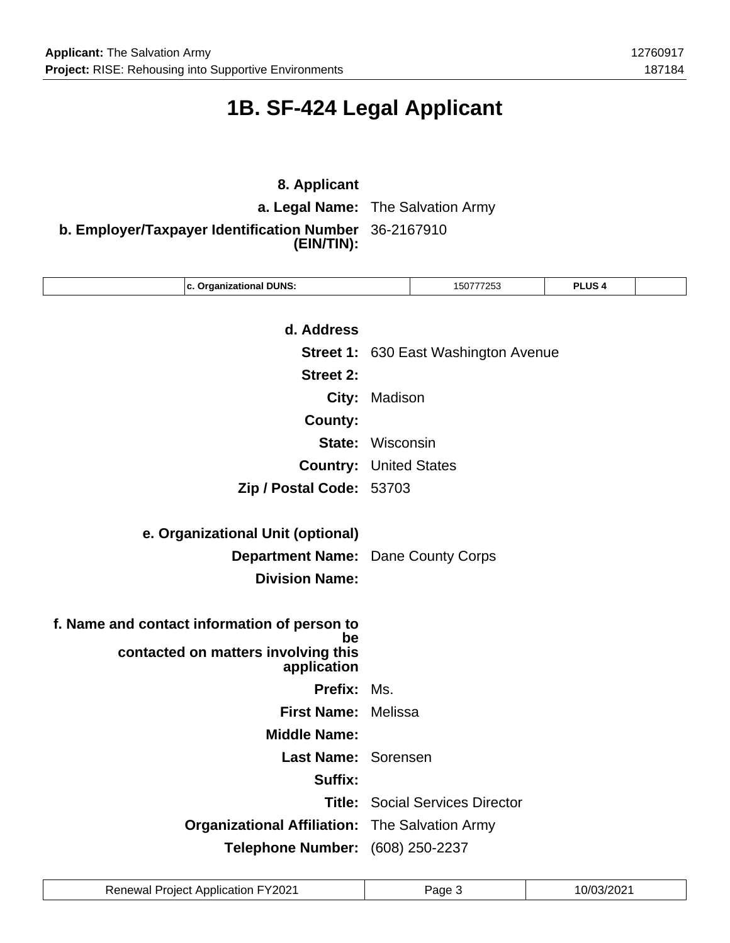# **1B. SF-424 Legal Applicant**

### **8. Applicant**

**a. Legal Name:** The Salvation Army

**b. Employer/Taxpayer Identification Number** 36-2167910 **(EIN/TIN):**

| c. Organizational DUNS:                            |                         | 150777253                                   | PLUS <sub>4</sub> |  |
|----------------------------------------------------|-------------------------|---------------------------------------------|-------------------|--|
|                                                    |                         |                                             |                   |  |
| d. Address                                         |                         |                                             |                   |  |
|                                                    |                         | <b>Street 1: 630 East Washington Avenue</b> |                   |  |
| <b>Street 2:</b>                                   |                         |                                             |                   |  |
| City:                                              | Madison                 |                                             |                   |  |
| <b>County:</b>                                     |                         |                                             |                   |  |
|                                                    | <b>State: Wisconsin</b> |                                             |                   |  |
| <b>Country:</b>                                    |                         | <b>United States</b>                        |                   |  |
| Zip / Postal Code: 53703                           |                         |                                             |                   |  |
|                                                    |                         |                                             |                   |  |
| e. Organizational Unit (optional)                  |                         |                                             |                   |  |
| <b>Department Name:</b>                            |                         | Dane County Corps                           |                   |  |
| <b>Division Name:</b>                              |                         |                                             |                   |  |
|                                                    |                         |                                             |                   |  |
| f. Name and contact information of person to<br>be |                         |                                             |                   |  |
| contacted on matters involving this<br>application |                         |                                             |                   |  |
| Prefix: Ms.                                        |                         |                                             |                   |  |
| <b>First Name:</b>                                 | Melissa                 |                                             |                   |  |
| <b>Middle Name:</b>                                |                         |                                             |                   |  |
| Last Name: Sorensen                                |                         |                                             |                   |  |
| Suffix:                                            |                         |                                             |                   |  |
|                                                    |                         | <b>Title: Social Services Director</b>      |                   |  |
| <b>Organizational Affiliation:</b>                 |                         | The Salvation Army                          |                   |  |
| Telephone Number: (608) 250-2237                   |                         |                                             |                   |  |
|                                                    |                         |                                             |                   |  |

| <b>Renewal Project Application FY2021</b> | Page | 10/03/2021 |
|-------------------------------------------|------|------------|
|-------------------------------------------|------|------------|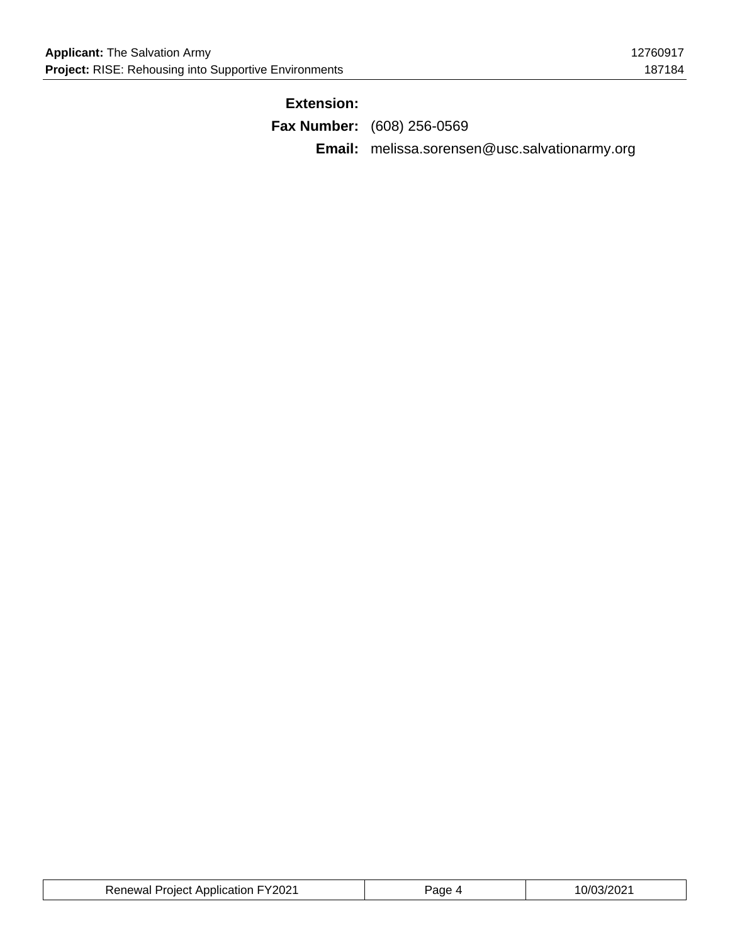### **Extension:**

| <b>Fax Number:</b> (608) 256-0569 |  |  |  |
|-----------------------------------|--|--|--|
|                                   |  |  |  |

**Email:** melissa.sorensen@usc.salvationarmy.org

| <b>Renewal Project Application FY2021</b> | 'age | 10/03/2021 |
|-------------------------------------------|------|------------|
|-------------------------------------------|------|------------|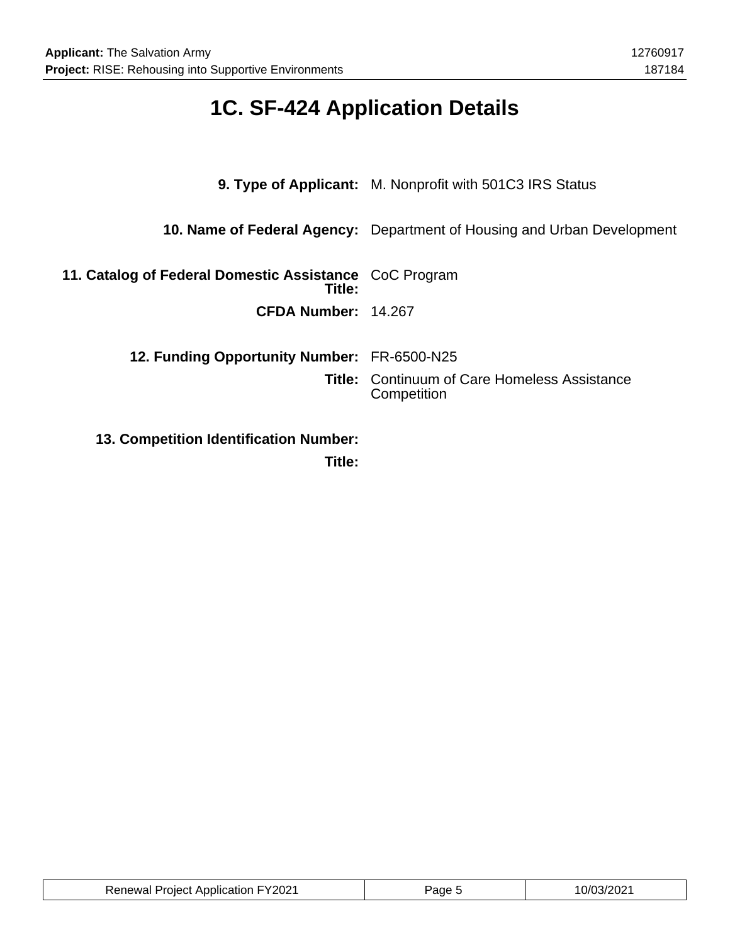# **1C. SF-424 Application Details**

|                                                                  | <b>9. Type of Applicant:</b> M. Nonprofit with 501C3 IRS Status                |
|------------------------------------------------------------------|--------------------------------------------------------------------------------|
|                                                                  | <b>10. Name of Federal Agency:</b> Department of Housing and Urban Development |
| 11. Catalog of Federal Domestic Assistance CoC Program<br>Title: |                                                                                |
| CFDA Number: 14.267                                              |                                                                                |
| 12. Funding Opportunity Number: FR-6500-N25                      |                                                                                |
|                                                                  | <b>Title: Continuum of Care Homeless Assistance</b><br>Competition             |
| <b>13. Competition Identification Number:</b>                    |                                                                                |

**Title:**

| uun FY2021باست<br>Project<br>- Annlication<br>≺enewal | ane | ∠∪∠<br>_____ |
|-------------------------------------------------------|-----|--------------|
|-------------------------------------------------------|-----|--------------|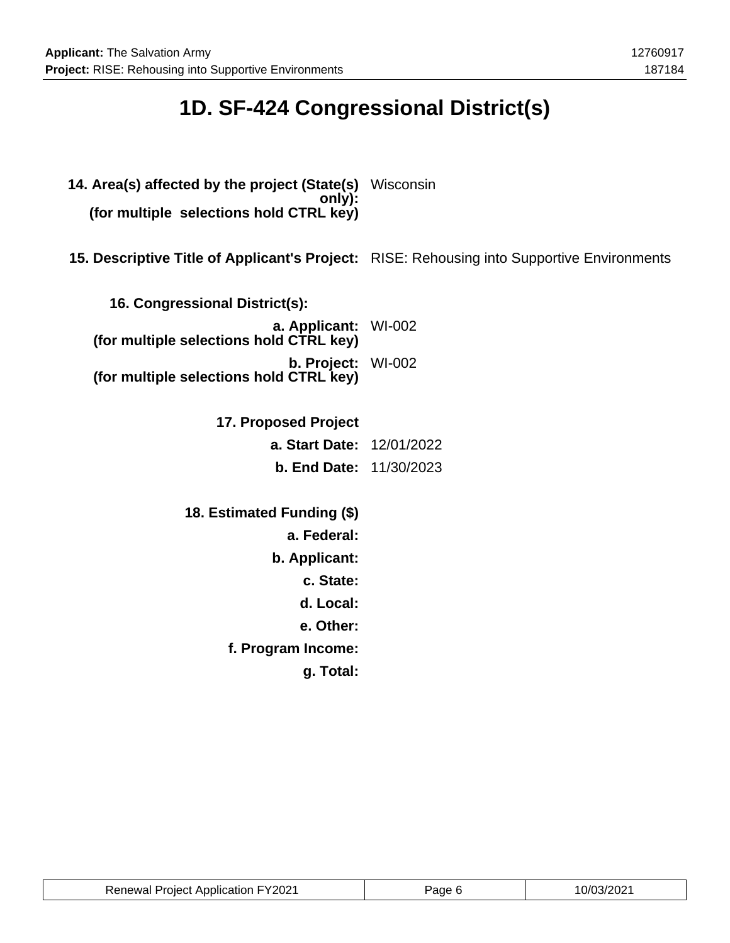# **1D. SF-424 Congressional District(s)**

- **14. Area(s) affected by the project (State(s)** Wisconsin **only): (for multiple selections hold CTRL key)**
- **15. Descriptive Title of Applicant's Project:** RISE: Rehousing into Supportive Environments

| 16. Congressional District(s):                                  |  |
|-----------------------------------------------------------------|--|
| a. Applicant: WI-002<br>(for multiple selections hold CTRL key) |  |
| b. Project: WI-002<br>(for multiple selections hold CTRL key)   |  |

**17. Proposed Project a. Start Date:** 12/01/2022 **b. End Date:** 11/30/2023

**18. Estimated Funding (\$) a. Federal: b. Applicant: c. State: d. Local: e. Other: f. Program Income: g. Total:**

| <b>Renewal Project Application FY2021</b> | Page 6 | 10/03/2021 |
|-------------------------------------------|--------|------------|
|-------------------------------------------|--------|------------|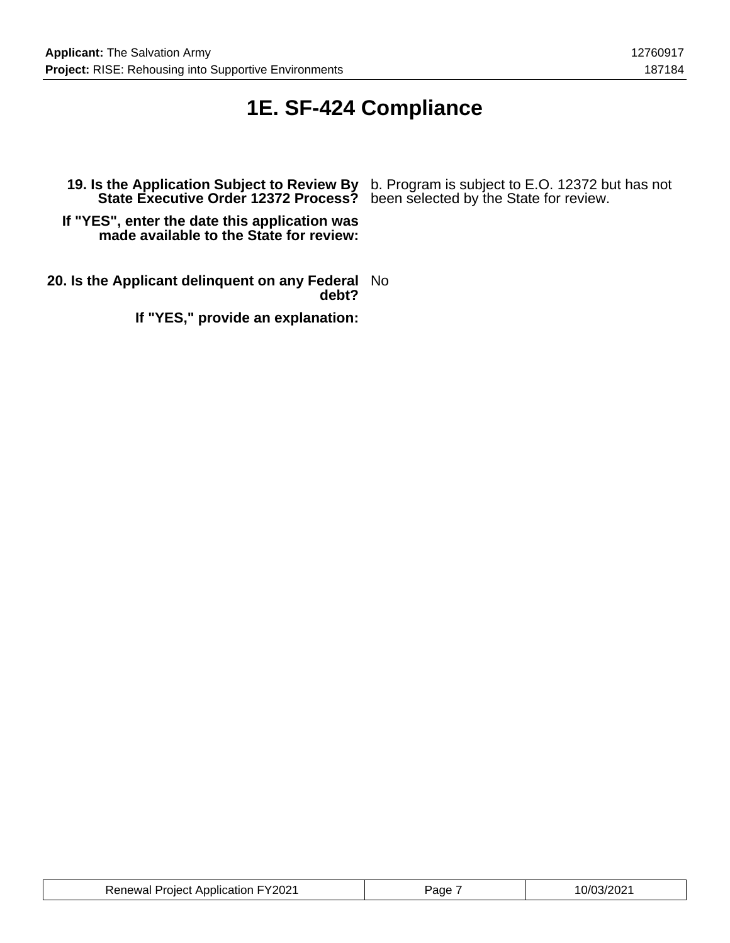### **1E. SF-424 Compliance**

**State Executive Order 12372 Process?** been selected by the State for review.

**If "YES", enter the date this application was made available to the State for review:**

**20. Is the Applicant delinquent on any Federal** No **debt?**

**If "YES," provide an explanation:**

**19. Is the Application Subject to Review By** b. Program is subject to E.O. 12372 but has not

| <b>Renewal Project Application FY2021</b> | 'age | י רחמי בח/ח<br>UIUJIZUZ |
|-------------------------------------------|------|-------------------------|
|-------------------------------------------|------|-------------------------|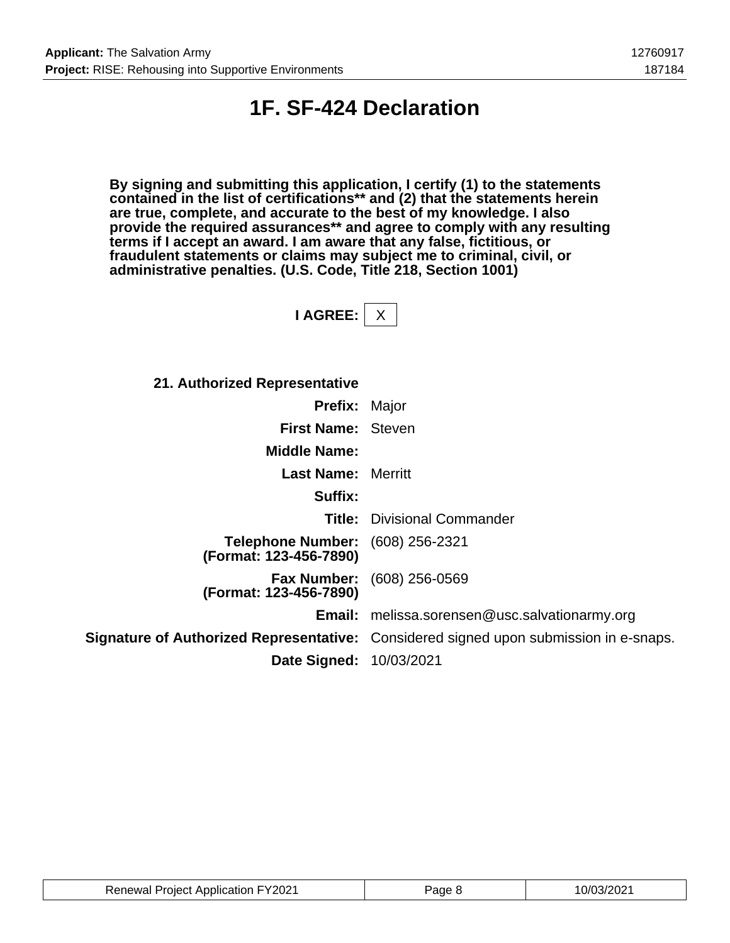### **1F. SF-424 Declaration**

**By signing and submitting this application, I certify (1) to the statements contained in the list of certifications\*\* and (2) that the statements herein are true, complete, and accurate to the best of my knowledge. I also provide the required assurances\*\* and agree to comply with any resulting terms if I accept an award. I am aware that any false, fictitious, or fraudulent statements or claims may subject me to criminal, civil, or administrative penalties. (U.S. Code, Title 218, Section 1001)**

**I AGREE:** X

| 21. Authorized Representative                                     |                                                                                              |
|-------------------------------------------------------------------|----------------------------------------------------------------------------------------------|
| <b>Prefix: Major</b>                                              |                                                                                              |
| First Name: Steven                                                |                                                                                              |
| <b>Middle Name:</b>                                               |                                                                                              |
| <b>Last Name:</b> Merritt                                         |                                                                                              |
| Suffix:                                                           |                                                                                              |
|                                                                   | <b>Title:</b> Divisional Commander                                                           |
| <b>Telephone Number:</b> (608) 256-2321<br>(Format: 123-456-7890) |                                                                                              |
| (Format: 123-456-7890)                                            | <b>Fax Number:</b> (608) 256-0569                                                            |
|                                                                   | <b>Email:</b> melissa.sorensen@usc.salvationarmy.org                                         |
|                                                                   | <b>Signature of Authorized Representative:</b> Considered signed upon submission in e-snaps. |
| <b>Date Signed: 10/03/2021</b>                                    |                                                                                              |

| <b>Renewal Project Application FY2021</b> | ane | .0/03/2021 |
|-------------------------------------------|-----|------------|
|-------------------------------------------|-----|------------|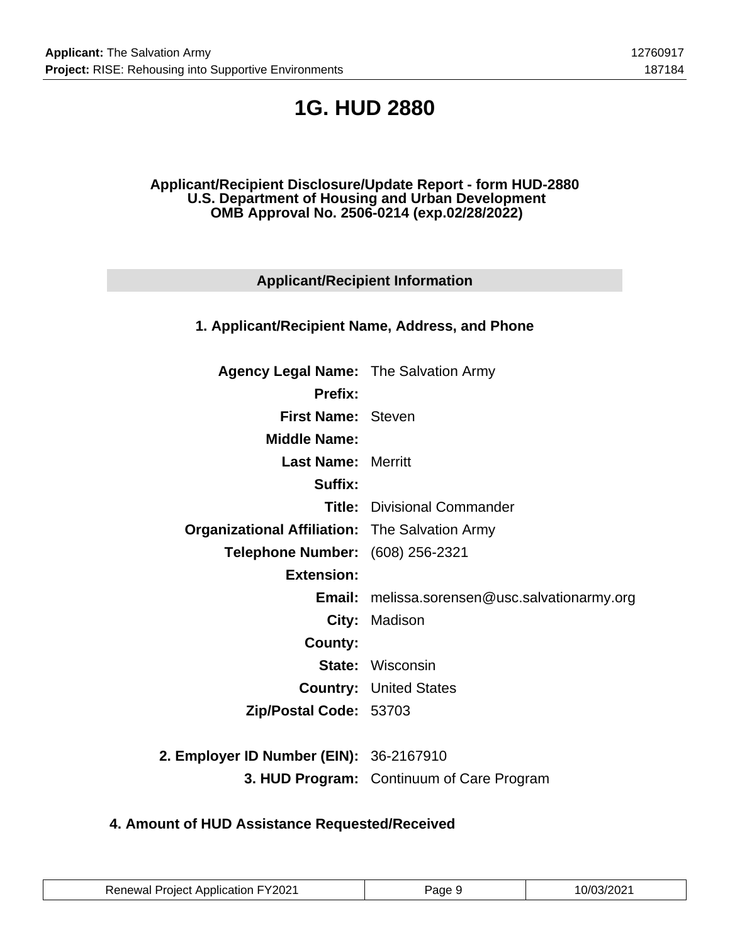# **1G. HUD 2880**

#### **Applicant/Recipient Disclosure/Update Report - form HUD-2880 U.S. Department of Housing and Urban Development OMB Approval No. 2506-0214 (exp.02/28/2022)**

### **Applicant/Recipient Information**

### **1. Applicant/Recipient Name, Address, and Phone**

| <b>Agency Legal Name: The Salvation Army</b>          |                                                      |
|-------------------------------------------------------|------------------------------------------------------|
| <b>Prefix:</b>                                        |                                                      |
| <b>First Name: Steven</b>                             |                                                      |
| <b>Middle Name:</b>                                   |                                                      |
| <b>Last Name: Merritt</b>                             |                                                      |
| Suffix:                                               |                                                      |
|                                                       | <b>Title:</b> Divisional Commander                   |
| <b>Organizational Affiliation:</b> The Salvation Army |                                                      |
| Telephone Number: (608) 256-2321                      |                                                      |
| <b>Extension:</b>                                     |                                                      |
|                                                       | <b>Email:</b> melissa.sorensen@usc.salvationarmy.org |
|                                                       | City: Madison                                        |
| County:                                               |                                                      |
|                                                       | <b>State: Wisconsin</b>                              |
|                                                       | <b>Country: United States</b>                        |
| Zip/Postal Code: 53703                                |                                                      |
|                                                       |                                                      |
| 2. Employer ID Number (EIN): 36-2167910               |                                                      |
|                                                       | 3. HUD Program: Continuum of Care Program            |

### **4. Amount of HUD Assistance Requested/Received**

| <b>Renewal Project Application FY2021</b> | Page 9 | 10/03/2021 |
|-------------------------------------------|--------|------------|
|-------------------------------------------|--------|------------|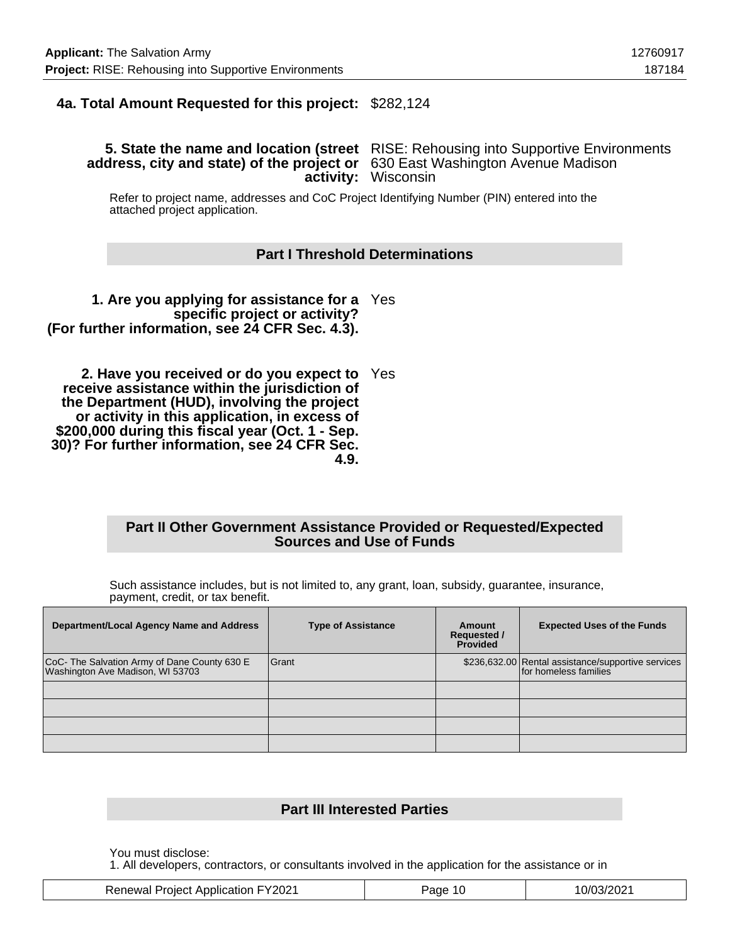### **4a. Total Amount Requested for this project:** \$282,124

#### **5. State the name and location (street** RISE: Rehousing into Supportive Environments **address, city and state) of the project or** 630 East Washington Avenue Madison **activity:** Wisconsin

Refer to project name, addresses and CoC Project Identifying Number (PIN) entered into the attached project application.

#### **Part I Threshold Determinations**

**1. Are you applying for assistance for a** Yes **specific project or activity? (For further information, see 24 CFR Sec. 4.3).**

**2. Have you received or do you expect to** Yes **receive assistance within the jurisdiction of the Department (HUD), involving the project or activity in this application, in excess of \$200,000 during this fiscal year (Oct. 1 - Sep. 30)? For further information, see 24 CFR Sec. 4.9.**

#### **Part II Other Government Assistance Provided or Requested/Expected Sources and Use of Funds**

Such assistance includes, but is not limited to, any grant, loan, subsidy, guarantee, insurance, payment, credit, or tax benefit.

| Department/Local Agency Name and Address                                      | <b>Type of Assistance</b> | Amount<br><b>Requested /</b><br><b>Provided</b> | <b>Expected Uses of the Funds</b>                                           |
|-------------------------------------------------------------------------------|---------------------------|-------------------------------------------------|-----------------------------------------------------------------------------|
| CoC- The Salvation Army of Dane County 630 E Washington Ave Madison, WI 53703 | Grant                     |                                                 | \$236,632.00 Rental assistance/supportive services<br>for homeless families |
|                                                                               |                           |                                                 |                                                                             |
|                                                                               |                           |                                                 |                                                                             |
|                                                                               |                           |                                                 |                                                                             |

#### **Part III Interested Parties**

You must disclose:

1. All developers, contractors, or consultants involved in the application for the assistance or in

| <b>Renewal Project Application FY2021</b> | Page 10 | 10/03/2021 |
|-------------------------------------------|---------|------------|
|-------------------------------------------|---------|------------|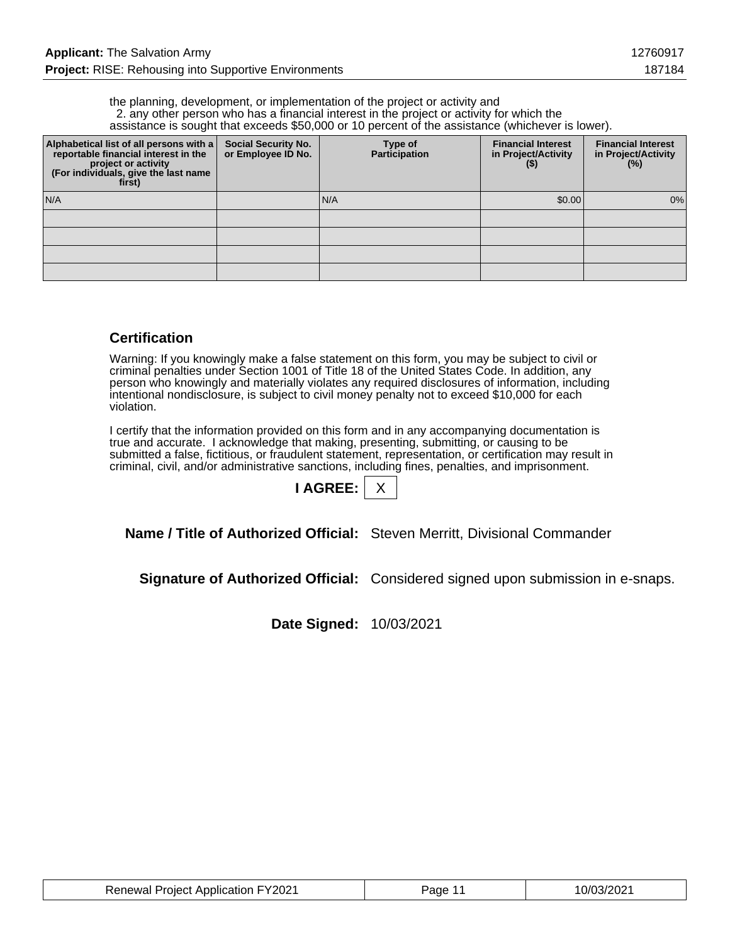the planning, development, or implementation of the project or activity and 2. any other person who has a financial interest in the project or activity for which the assistance is sought that exceeds \$50,000 or 10 percent of the assistance (whichever is lower).

| Alphabetical list of all persons with a<br>reportable financial interest in the<br>project or activity<br>(For individuals, give the last name<br>first) | <b>Social Security No.</b><br>or Employee ID No. | Type of<br>Participation | <b>Financial Interest</b><br>in Project/Activity<br>$($ \$) | <b>Financial Interest</b><br>in Project/Activity<br>(%) |
|----------------------------------------------------------------------------------------------------------------------------------------------------------|--------------------------------------------------|--------------------------|-------------------------------------------------------------|---------------------------------------------------------|
| N/A                                                                                                                                                      |                                                  | N/A                      | \$0.00                                                      | $0\%$                                                   |
|                                                                                                                                                          |                                                  |                          |                                                             |                                                         |
|                                                                                                                                                          |                                                  |                          |                                                             |                                                         |
|                                                                                                                                                          |                                                  |                          |                                                             |                                                         |
|                                                                                                                                                          |                                                  |                          |                                                             |                                                         |

#### **Certification**

Warning: If you knowingly make a false statement on this form, you may be subject to civil or criminal penalties under Section 1001 of Title 18 of the United States Code. In addition, any person who knowingly and materially violates any required disclosures of information, including intentional nondisclosure, is subject to civil money penalty not to exceed \$10,000 for each violation.

I certify that the information provided on this form and in any accompanying documentation is true and accurate. I acknowledge that making, presenting, submitting, or causing to be submitted a false, fictitious, or fraudulent statement, representation, or certification may result in criminal, civil, and/or administrative sanctions, including fines, penalties, and imprisonment.

| <b>AGRE</b> |  |
|-------------|--|
|             |  |

**Name / Title of Authorized Official:** Steven Merritt, Divisional Commander

**Signature of Authorized Official:** Considered signed upon submission in e-snaps.

**Date Signed:** 10/03/2021

| <b>Renewal Project Application FY2021</b> | Page 11 | 10/03/2021 |
|-------------------------------------------|---------|------------|
|-------------------------------------------|---------|------------|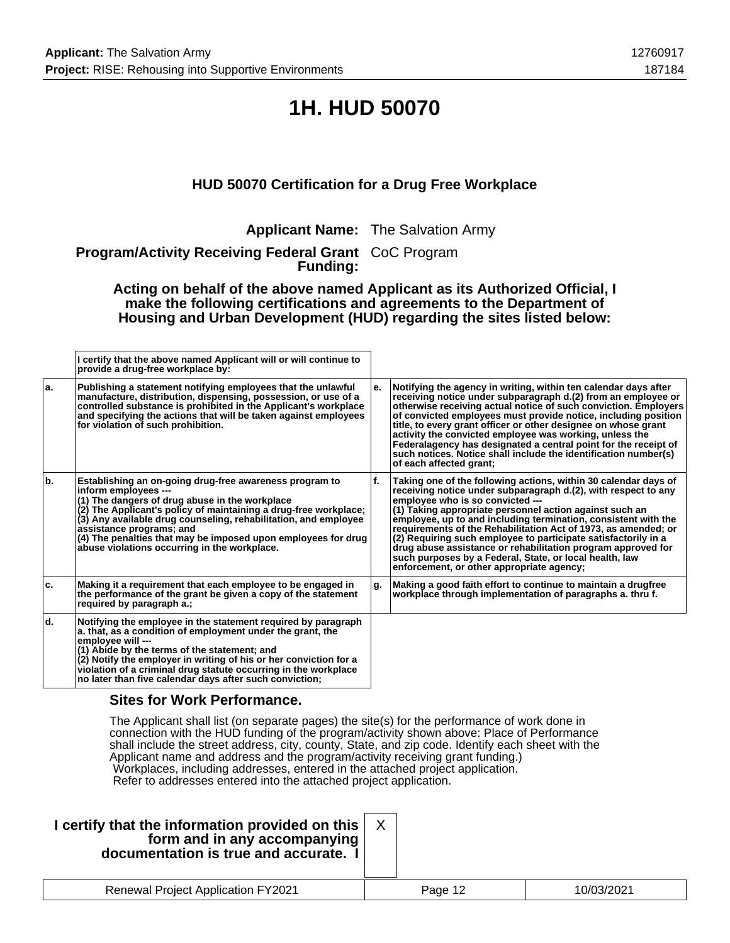# **1H. HUD 50070**

### **HUD 50070 Certification for a Drug Free Workplace**

**Applicant Name:** The Salvation Army

**Program/Activity Receiving Federal Grant** CoC Program **Funding:**

**Acting on behalf of the above named Applicant as its Authorized Official, I make the following certifications and agreements to the Department of Housing and Urban Development (HUD) regarding the sites listed below:**

|     | I certify that the above named Applicant will or will continue to<br>provide a drug-free workplace by:                                                                                                                                                                                                                                                                                                                |    |                                                                                                                                                                                                                                                                                                                                                                                                                                                                                                                                                                                                                |
|-----|-----------------------------------------------------------------------------------------------------------------------------------------------------------------------------------------------------------------------------------------------------------------------------------------------------------------------------------------------------------------------------------------------------------------------|----|----------------------------------------------------------------------------------------------------------------------------------------------------------------------------------------------------------------------------------------------------------------------------------------------------------------------------------------------------------------------------------------------------------------------------------------------------------------------------------------------------------------------------------------------------------------------------------------------------------------|
| ۱a. | Publishing a statement notifying employees that the unlawful<br>manufacture, distribution, dispensing, possession, or use of a<br>controlled substance is prohibited in the Applicant's workplace<br>and specifying the actions that will be taken against employees<br>for violation of such prohibition.                                                                                                            | е. | Notifying the agency in writing, within ten calendar days after<br>receiving notice under subparagraph d.(2) from an employee or<br>otherwise receiving actual notice of such conviction. Employers<br>of convicted employees must provide notice, including position<br>title, to every grant officer or other designee on whose grant<br>activity the convicted employee was working, unless the<br>Federalagency has designated a central point for the receipt of<br>such notices. Notice shall include the identification number(s)<br>of each affected grant;                                            |
| ١b. | Establishing an on-going drug-free awareness program to<br>inform employees ---<br>(1) The dangers of drug abuse in the workplace<br>(2) The Applicant's policy of maintaining a drug-free workplace;<br>(3) Any available drug counseling, rehabilitation, and employee<br>assistance programs; and<br>(4) The penalties that may be imposed upon employees for drug<br>abuse violations occurring in the workplace. | f. | Taking one of the following actions, within 30 calendar days of<br>receiving notice under subparagraph d.(2), with respect to any<br>emplovee who is so convicted ---<br>(1) Taking appropriate personnel action against such an<br>employee, up to and including termination, consistent with the<br>requirements of the Rehabilitation Act of 1973, as amended; or<br>(2) Requiring such employee to participate satisfactorily in a<br>drug abuse assistance or rehabilitation program approved for<br>such purposes by a Federal, State, or local health, law<br>enforcement, or other appropriate agency; |
| ۱c. | Making it a requirement that each employee to be engaged in<br>the performance of the grant be given a copy of the statement<br>required by paragraph a.;                                                                                                                                                                                                                                                             | g. | Making a good faith effort to continue to maintain a drugfree<br>workplace through implementation of paragraphs a, thru f.                                                                                                                                                                                                                                                                                                                                                                                                                                                                                     |
| ld. | Notifying the employee in the statement required by paragraph<br>a. that, as a condition of employment under the grant, the<br>emplovee will ---<br>(1) Abide by the terms of the statement; and<br>(2) Notify the employer in writing of his or her conviction for a<br>violation of a criminal drug statute occurring in the workplace<br>no later than five calendar days after such conviction;                   |    |                                                                                                                                                                                                                                                                                                                                                                                                                                                                                                                                                                                                                |

#### **Sites for Work Performance.**

The Applicant shall list (on separate pages) the site(s) for the performance of work done in connection with the HUD funding of the program/activity shown above: Place of Performance shall include the street address, city, county, State, and zip code. Identify each sheet with the Applicant name and address and the program/activity receiving grant funding.) Workplaces, including addresses, entered in the attached project application. Refer to addresses entered into the attached project application.

| I certify that the information provided on this $ $<br>form and in any accompanying<br>documentation is true and accurate. I |         |            |
|------------------------------------------------------------------------------------------------------------------------------|---------|------------|
| <b>Renewal Project Application FY2021</b>                                                                                    | Page 12 | 10/03/2021 |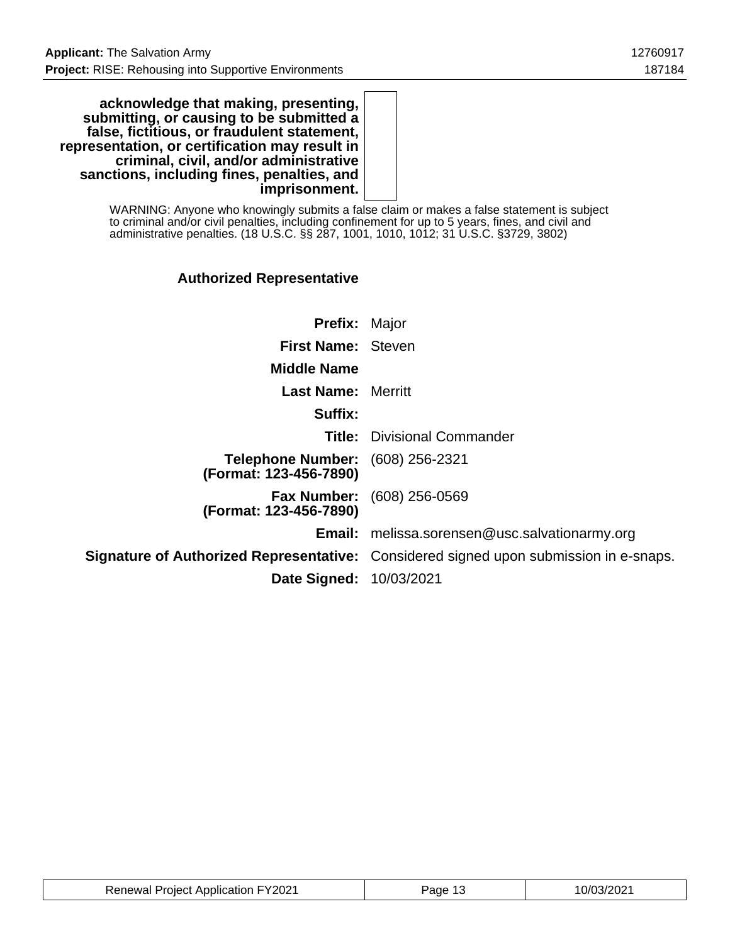**acknowledge that making, presenting, submitting, or causing to be submitted a false, fictitious, or fraudulent statement, representation, or certification may result in criminal, civil, and/or administrative sanctions, including fines, penalties, and imprisonment.**

> WARNING: Anyone who knowingly submits a false claim or makes a false statement is subject to criminal and/or civil penalties, including confinement for up to 5 years, fines, and civil and administrative penalties. (18 U.S.C. §§ 287, 1001, 1010, 1012; 31 U.S.C. §3729, 3802)

### **Authorized Representative**

| <b>Prefix: Major</b>                                              |                                                                                              |
|-------------------------------------------------------------------|----------------------------------------------------------------------------------------------|
|                                                                   |                                                                                              |
| <b>First Name: Steven</b>                                         |                                                                                              |
| <b>Middle Name</b>                                                |                                                                                              |
| <b>Last Name: Merritt</b>                                         |                                                                                              |
| Suffix:                                                           |                                                                                              |
|                                                                   | <b>Title:</b> Divisional Commander                                                           |
| <b>Telephone Number:</b> (608) 256-2321<br>(Format: 123-456-7890) |                                                                                              |
| (Format: 123-456-7890)                                            | <b>Fax Number:</b> (608) 256-0569                                                            |
|                                                                   | Email: melissa.sorensen@usc.salvationarmy.org                                                |
|                                                                   | <b>Signature of Authorized Representative:</b> Considered signed upon submission in e-snaps. |
| <b>Date Signed: 10/03/2021</b>                                    |                                                                                              |

| <b>Renewal Project Application FY2021</b> | Page 13 | 10/03/2021 |
|-------------------------------------------|---------|------------|
|-------------------------------------------|---------|------------|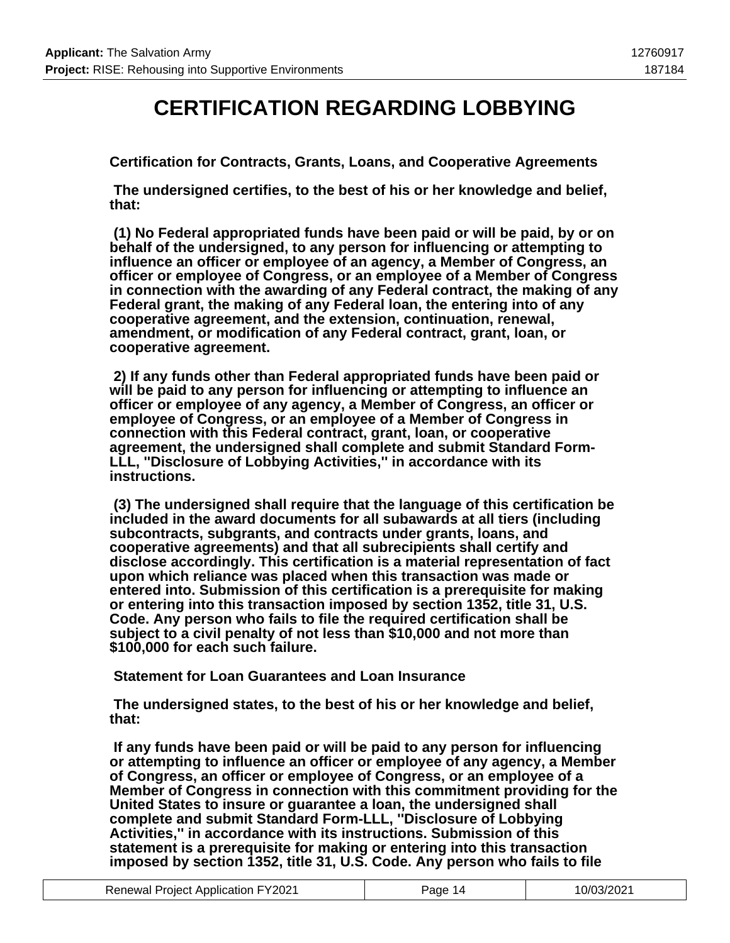### **CERTIFICATION REGARDING LOBBYING**

**Certification for Contracts, Grants, Loans, and Cooperative Agreements**

 **The undersigned certifies, to the best of his or her knowledge and belief, that:**

 **(1) No Federal appropriated funds have been paid or will be paid, by or on behalf of the undersigned, to any person for influencing or attempting to influence an officer or employee of an agency, a Member of Congress, an officer or employee of Congress, or an employee of a Member of Congress in connection with the awarding of any Federal contract, the making of any Federal grant, the making of any Federal loan, the entering into of any cooperative agreement, and the extension, continuation, renewal, amendment, or modification of any Federal contract, grant, loan, or cooperative agreement.**

 **2) If any funds other than Federal appropriated funds have been paid or will be paid to any person for influencing or attempting to influence an officer or employee of any agency, a Member of Congress, an officer or employee of Congress, or an employee of a Member of Congress in connection with this Federal contract, grant, loan, or cooperative agreement, the undersigned shall complete and submit Standard Form-LLL, ''Disclosure of Lobbying Activities,'' in accordance with its instructions.**

 **(3) The undersigned shall require that the language of this certification be included in the award documents for all subawards at all tiers (including subcontracts, subgrants, and contracts under grants, loans, and cooperative agreements) and that all subrecipients shall certify and disclose accordingly. This certification is a material representation of fact upon which reliance was placed when this transaction was made or entered into. Submission of this certification is a prerequisite for making or entering into this transaction imposed by section 1352, title 31, U.S. Code. Any person who fails to file the required certification shall be subject to a civil penalty of not less than \$10,000 and not more than \$100,000 for each such failure.**

 **Statement for Loan Guarantees and Loan Insurance**

 **The undersigned states, to the best of his or her knowledge and belief, that:**

 **If any funds have been paid or will be paid to any person for influencing or attempting to influence an officer or employee of any agency, a Member of Congress, an officer or employee of Congress, or an employee of a Member of Congress in connection with this commitment providing for the United States to insure or guarantee a loan, the undersigned shall complete and submit Standard Form-LLL, ''Disclosure of Lobbying Activities,'' in accordance with its instructions. Submission of this statement is a prerequisite for making or entering into this transaction imposed by section 1352, title 31, U.S. Code. Any person who fails to file**

| <b>Renewal Project Application FY2021</b> | Page 14 | 10/03/2021 |
|-------------------------------------------|---------|------------|
|-------------------------------------------|---------|------------|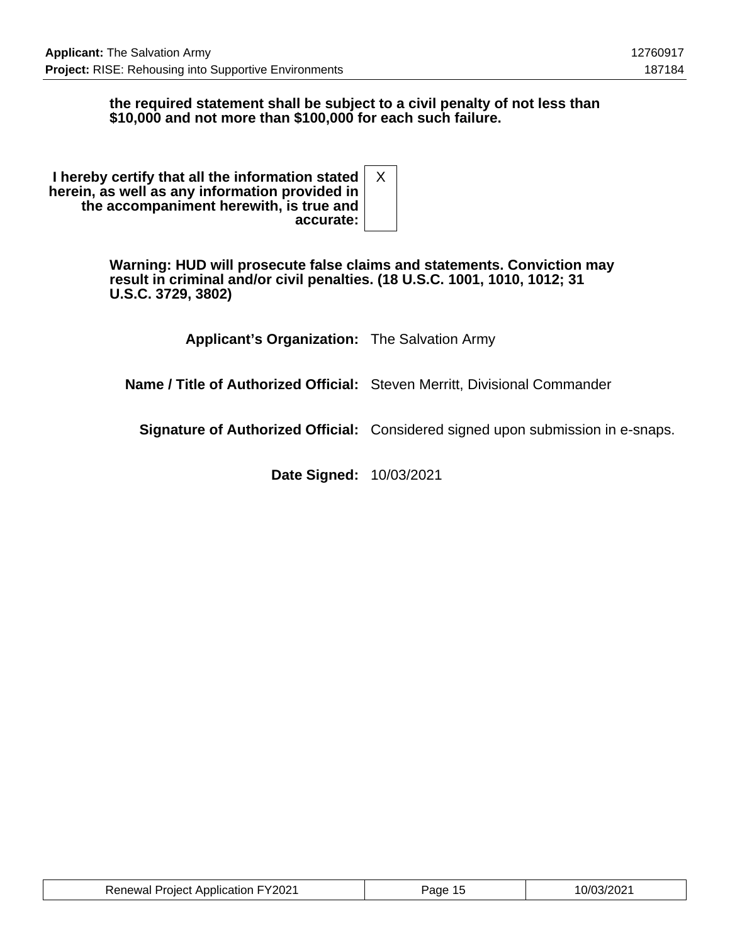#### **the required statement shall be subject to a civil penalty of not less than \$10,000 and not more than \$100,000 for each such failure.**

| I hereby certify that all the information stated<br>herein, as well as any information provided in |  |
|----------------------------------------------------------------------------------------------------|--|
| the accompaniment herewith, is true and                                                            |  |
| accurate:                                                                                          |  |

**Warning: HUD will prosecute false claims and statements. Conviction may result in criminal and/or civil penalties. (18 U.S.C. 1001, 1010, 1012; 31 U.S.C. 3729, 3802)**

**Applicant's Organization:** The Salvation Army

**Name / Title of Authorized Official:** Steven Merritt, Divisional Commander

**Signature of Authorized Official:** Considered signed upon submission in e-snaps.

**Date Signed:** 10/03/2021

| <b>Renewal Project Application FY2021</b> | Page 15 | 10/03/2021 |
|-------------------------------------------|---------|------------|
|-------------------------------------------|---------|------------|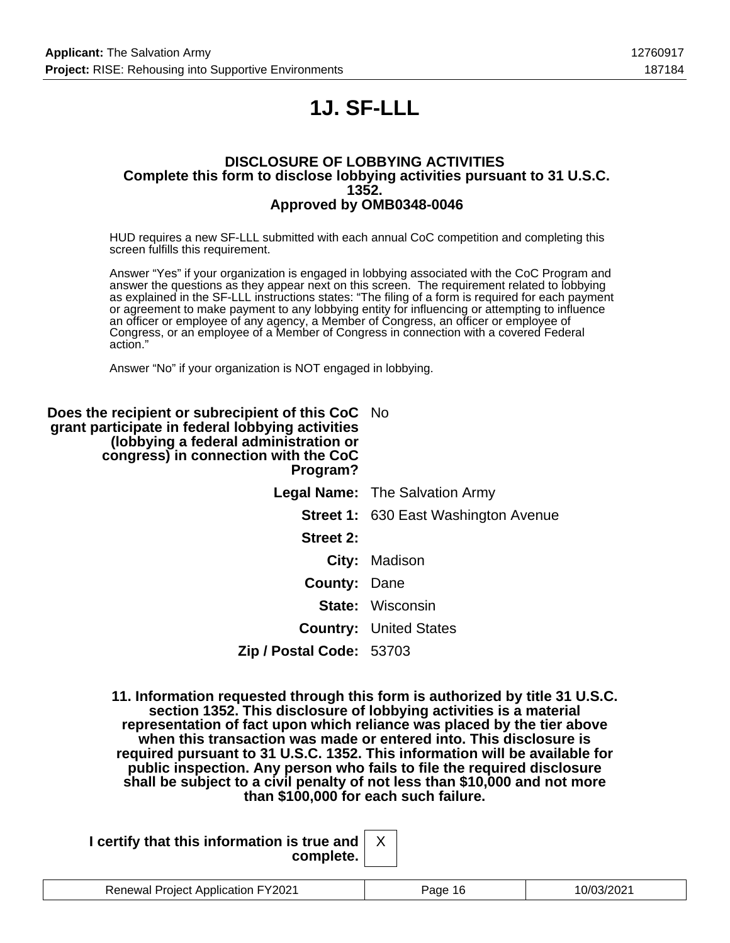# **1J. SF-LLL**

#### **DISCLOSURE OF LOBBYING ACTIVITIES Complete this form to disclose lobbying activities pursuant to 31 U.S.C. 1352. Approved by OMB0348-0046**

HUD requires a new SF-LLL submitted with each annual CoC competition and completing this screen fulfills this requirement.

Answer "Yes" if your organization is engaged in lobbying associated with the CoC Program and answer the questions as they appear next on this screen. The requirement related to lobbying as explained in the SF-LLL instructions states: "The filing of a form is required for each payment or agreement to make payment to any lobbying entity for influencing or attempting to influence an officer or employee of any agency, a Member of Congress, an officer or employee of Congress, or an employee of a Member of Congress in connection with a covered Federal action."

Answer "No" if your organization is NOT engaged in lobbying.

| <b>Does the recipient or subrecipient of this CoC</b> No<br>grant participate in federal lobbying activities<br>(lobbying a federal administration or<br>congress) in connection with the CoC<br>Program? |                                             |
|-----------------------------------------------------------------------------------------------------------------------------------------------------------------------------------------------------------|---------------------------------------------|
|                                                                                                                                                                                                           | <b>Legal Name:</b> The Salvation Army       |
|                                                                                                                                                                                                           | <b>Street 1: 630 East Washington Avenue</b> |
| <b>Street 2:</b>                                                                                                                                                                                          |                                             |
|                                                                                                                                                                                                           | City: Madison                               |
| <b>County: Dane</b>                                                                                                                                                                                       |                                             |
|                                                                                                                                                                                                           | <b>State: Wisconsin</b>                     |
|                                                                                                                                                                                                           | <b>Country: United States</b>               |
| Zip / Postal Code: 53703                                                                                                                                                                                  |                                             |

**11. Information requested through this form is authorized by title 31 U.S.C. section 1352. This disclosure of lobbying activities is a material representation of fact upon which reliance was placed by the tier above when this transaction was made or entered into. This disclosure is required pursuant to 31 U.S.C. 1352. This information will be available for public inspection. Any person who fails to file the required disclosure shall be subject to a civil penalty of not less than \$10,000 and not more than \$100,000 for each such failure.**

| I certify that this information is true and $\vert$ |  |
|-----------------------------------------------------|--|
| complete.                                           |  |

| $\nabla$ 2021<br>Project Application<br>Renewal | 'ane | - 72 |
|-------------------------------------------------|------|------|
|                                                 |      |      |

X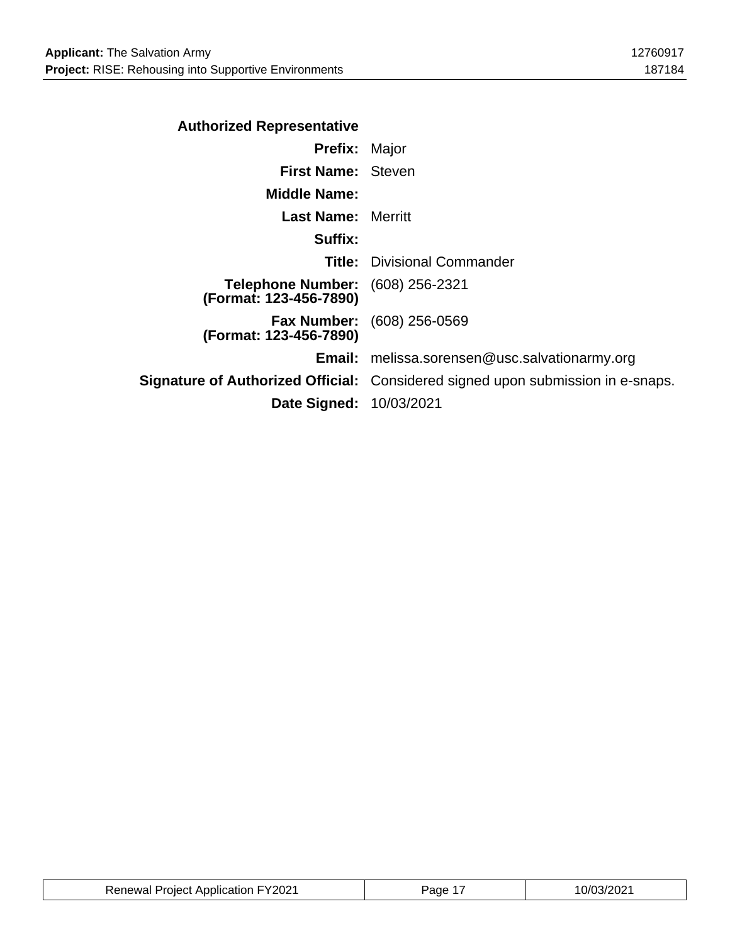| <b>Authorized Representative</b>                                  |                                                                                        |
|-------------------------------------------------------------------|----------------------------------------------------------------------------------------|
| <b>Prefix: Major</b>                                              |                                                                                        |
| <b>First Name: Steven</b>                                         |                                                                                        |
| <b>Middle Name:</b>                                               |                                                                                        |
| <b>Last Name:</b> Merritt                                         |                                                                                        |
| Suffix:                                                           |                                                                                        |
|                                                                   | <b>Title: Divisional Commander</b>                                                     |
| <b>Telephone Number:</b> (608) 256-2321<br>(Format: 123-456-7890) |                                                                                        |
| (Format: 123-456-7890)                                            | <b>Fax Number:</b> (608) 256-0569                                                      |
|                                                                   | <b>Email:</b> melissa.sorensen@usc.salvationarmy.org                                   |
|                                                                   | <b>Signature of Authorized Official:</b> Considered signed upon submission in e-snaps. |
| Date Signed: 10/03/2021                                           |                                                                                        |
|                                                                   |                                                                                        |

| <b>Renewal Project Application FY2021</b> | <sup>-1</sup> age | 10/03/2021 |
|-------------------------------------------|-------------------|------------|
|-------------------------------------------|-------------------|------------|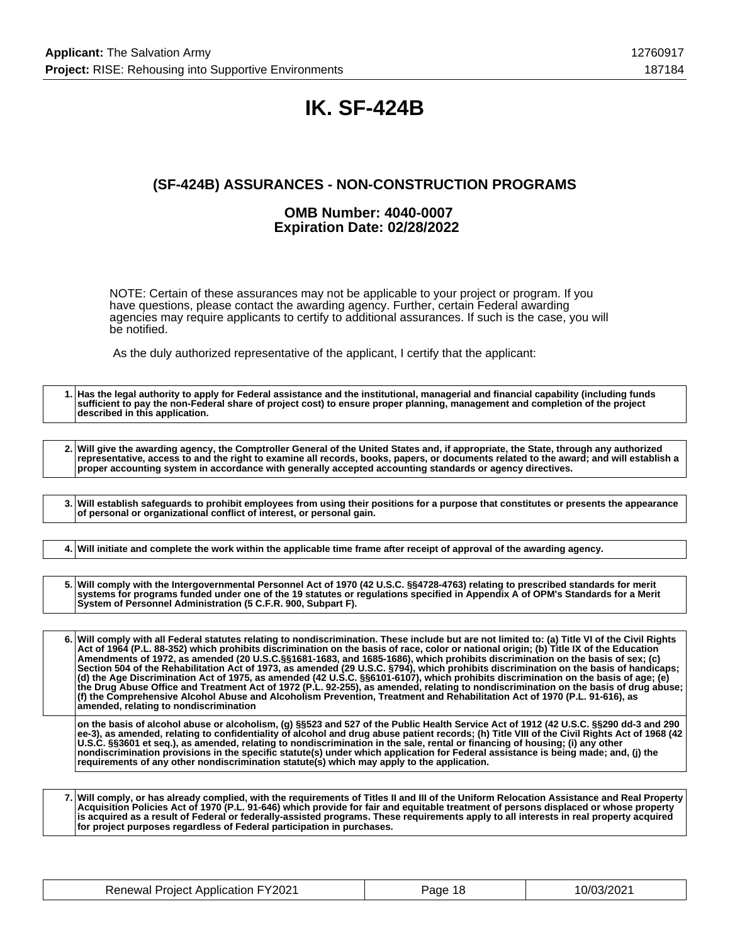## **IK. SF-424B**

### **(SF-424B) ASSURANCES - NON-CONSTRUCTION PROGRAMS**

#### **OMB Number: 4040-0007 Expiration Date: 02/28/2022**

NOTE: Certain of these assurances may not be applicable to your project or program. If you have questions, please contact the awarding agency. Further, certain Federal awarding agencies may require applicants to certify to additional assurances. If such is the case, you will be notified.

As the duly authorized representative of the applicant, I certify that the applicant:

**1. Has the legal authority to apply for Federal assistance and the institutional, managerial and financial capability (including funds sufficient to pay the non-Federal share of project cost) to ensure proper planning, management and completion of the project described in this application. 2. Will give the awarding agency, the Comptroller General of the United States and, if appropriate, the State, through any authorized representative, access to and the right to examine all records, books, papers, or documents related to the award; and will establish a proper accounting system in accordance with generally accepted accounting standards or agency directives. 3. Will establish safeguards to prohibit employees from using their positions for a purpose that constitutes or presents the appearance of personal or organizational conflict of interest, or personal gain. 4. Will initiate and complete the work within the applicable time frame after receipt of approval of the awarding agency. 5. Will comply with the Intergovernmental Personnel Act of 1970 (42 U.S.C. §§4728-4763) relating to prescribed standards for merit systems for programs funded under one of the 19 statutes or regulations specified in Appendix A of OPM's Standards for a Merit System of Personnel Administration (5 C.F.R. 900, Subpart F). 6. Will comply with all Federal statutes relating to nondiscrimination. These include but are not limited to: (a) Title VI of the Civil Rights Act of 1964 (P.L. 88-352) which prohibits discrimination on the basis of race, color or national origin; (b) Title IX of the Education Amendments of 1972, as amended (20 U.S.C.§§1681-1683, and 1685-1686), which prohibits discrimination on the basis of sex; (c) Section 504 of the Rehabilitation Act of 1973, as amended (29 U.S.C. §794), which prohibits discrimination on the basis of handicaps; (d) the Age Discrimination Act of 1975, as amended (42 U.S.C. §§6101-6107), which prohibits discrimination on the basis of age; (e) the Drug Abuse Office and Treatment Act of 1972 (P.L. 92-255), as amended, relating to nondiscrimination on the basis of drug abuse; (f) the Comprehensive Alcohol Abuse and Alcoholism Prevention, Treatment and Rehabilitation Act of 1970 (P.L. 91-616), as amended, relating to nondiscrimination on the basis of alcohol abuse or alcoholism, (g) §§523 and 527 of the Public Health Service Act of 1912 (42 U.S.C. §§290 dd-3 and 290 ee-3), as amended, relating to confidentiality of alcohol and drug abuse patient records; (h) Title VIII of the Civil Rights Act of 1968 (42 U.S.C. §§3601 et seq.), as amended, relating to nondiscrimination in the sale, rental or financing of housing; (i) any other nondiscrimination provisions in the specific statute(s) under which application for Federal assistance is being made; and, (j) the requirements of any other nondiscrimination statute(s) which may apply to the application.**

**7. Will comply, or has already complied, with the requirements of Titles II and III of the Uniform Relocation Assistance and Real Property Acquisition Policies Act of 1970 (P.L. 91-646) which provide for fair and equitable treatment of persons displaced or whose property is acquired as a result of Federal or federally-assisted programs. These requirements apply to all interests in real property acquired for project purposes regardless of Federal participation in purchases.**

| <b>Renewal Project Application FY2021</b> | Page 18 | 10/03/2021 |
|-------------------------------------------|---------|------------|
|-------------------------------------------|---------|------------|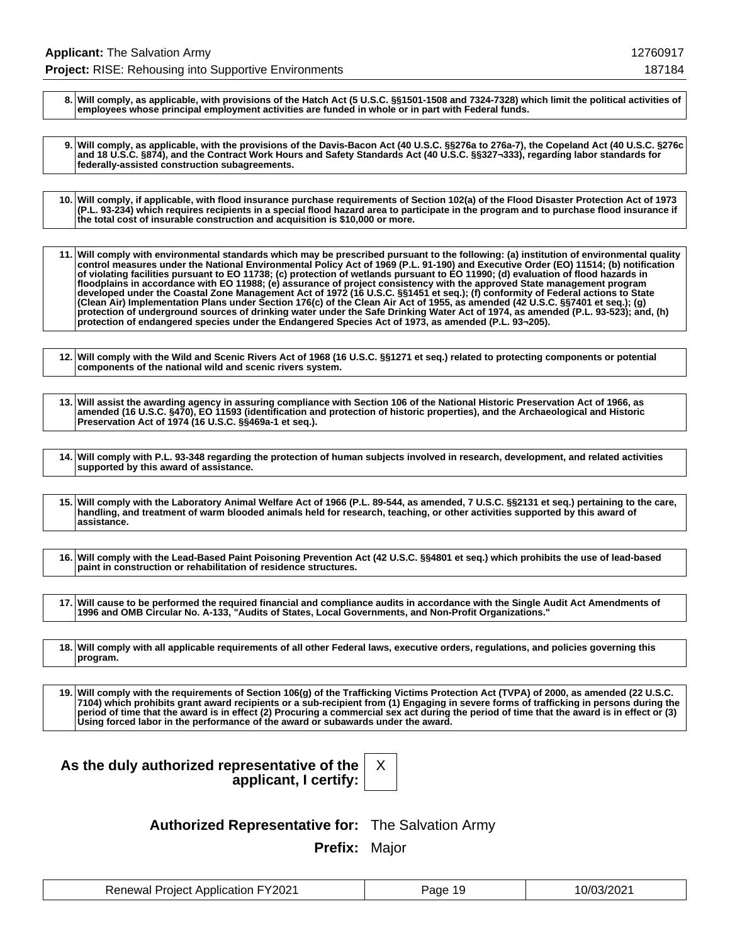**8. Will comply, as applicable, with provisions of the Hatch Act (5 U.S.C. §§1501-1508 and 7324-7328) which limit the political activities of employees whose principal employment activities are funded in whole or in part with Federal funds.**

**9. Will comply, as applicable, with the provisions of the Davis-Bacon Act (40 U.S.C. §§276a to 276a-7), the Copeland Act (40 U.S.C. §276c and 18 U.S.C. §874), and the Contract Work Hours and Safety Standards Act (40 U.S.C. §§327¬333), regarding labor standards for federally-assisted construction subagreements.**

**10. Will comply, if applicable, with flood insurance purchase requirements of Section 102(a) of the Flood Disaster Protection Act of 1973 (P.L. 93-234) which requires recipients in a special flood hazard area to participate in the program and to purchase flood insurance if the total cost of insurable construction and acquisition is \$10,000 or more.**

**11. Will comply with environmental standards which may be prescribed pursuant to the following: (a) institution of environmental quality control measures under the National Environmental Policy Act of 1969 (P.L. 91-190) and Executive Order (EO) 11514; (b) notification of violating facilities pursuant to EO 11738; (c) protection of wetlands pursuant to EO 11990; (d) evaluation of flood hazards in floodplains in accordance with EO 11988; (e) assurance of project consistency with the approved State management program developed under the Coastal Zone Management Act of 1972 (16 U.S.C. §§1451 et seq.); (f) conformity of Federal actions to State (Clean Air) Implementation Plans under Section 176(c) of the Clean Air Act of 1955, as amended (42 U.S.C. §§7401 et seq.); (g) protection of underground sources of drinking water under the Safe Drinking Water Act of 1974, as amended (P.L. 93-523); and, (h) protection of endangered species under the Endangered Species Act of 1973, as amended (P.L. 93¬205).**

**12. Will comply with the Wild and Scenic Rivers Act of 1968 (16 U.S.C. §§1271 et seq.) related to protecting components or potential components of the national wild and scenic rivers system.**

**13. Will assist the awarding agency in assuring compliance with Section 106 of the National Historic Preservation Act of 1966, as amended (16 U.S.C. §470), EO 11593 (identification and protection of historic properties), and the Archaeological and Historic Preservation Act of 1974 (16 U.S.C. §§469a-1 et seq.).**

**14. Will comply with P.L. 93-348 regarding the protection of human subjects involved in research, development, and related activities supported by this award of assistance.**

**15. Will comply with the Laboratory Animal Welfare Act of 1966 (P.L. 89-544, as amended, 7 U.S.C. §§2131 et seq.) pertaining to the care, handling, and treatment of warm blooded animals held for research, teaching, or other activities supported by this award of assistance.**

**16. Will comply with the Lead-Based Paint Poisoning Prevention Act (42 U.S.C. §§4801 et seq.) which prohibits the use of lead-based paint in construction or rehabilitation of residence structures.**

**17. Will cause to be performed the required financial and compliance audits in accordance with the Single Audit Act Amendments of 1996 and OMB Circular No. A-133, "Audits of States, Local Governments, and Non-Profit Organizations."**

**18. Will comply with all applicable requirements of all other Federal laws, executive orders, regulations, and policies governing this program.**

**19. Will comply with the requirements of Section 106(g) of the Trafficking Victims Protection Act (TVPA) of 2000, as amended (22 U.S.C. 7104) which prohibits grant award recipients or a sub-recipient from (1) Engaging in severe forms of trafficking in persons during the period of time that the award is in effect (2) Procuring a commercial sex act during the period of time that the award is in effect or (3) Using forced labor in the performance of the award or subawards under the award.**

| As the duly authorized representative of the |                       |  |
|----------------------------------------------|-----------------------|--|
|                                              | applicant, I certify: |  |



**Authorized Representative for:** The Salvation Army

**Prefix:** Major

| <b>Renewal Project Application FY2021</b> | Page 19 | 10/03/2021 |
|-------------------------------------------|---------|------------|
|-------------------------------------------|---------|------------|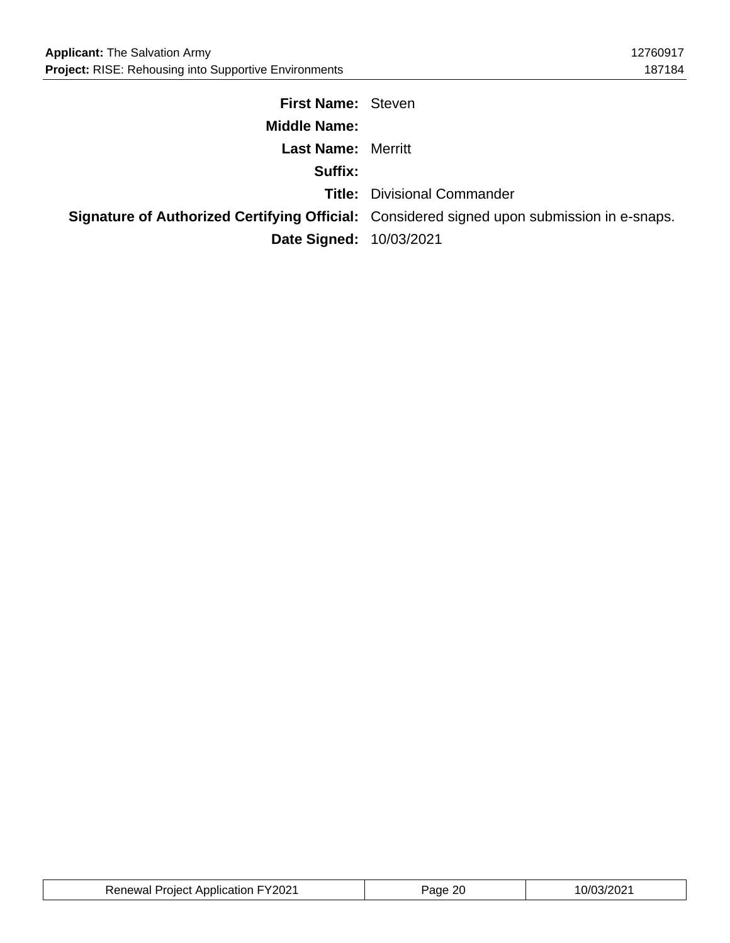| <b>First Name: Steven</b>      |                                                                                                   |
|--------------------------------|---------------------------------------------------------------------------------------------------|
| <b>Middle Name:</b>            |                                                                                                   |
| <b>Last Name: Merritt</b>      |                                                                                                   |
| Suffix:                        |                                                                                                   |
|                                | <b>Title: Divisional Commander</b>                                                                |
|                                | <b>Signature of Authorized Certifying Official:</b> Considered signed upon submission in e-snaps. |
| <b>Date Signed: 10/03/2021</b> |                                                                                                   |

| <b>Renewal Project Application FY2021</b> | ane | ™UJJZUZ. |
|-------------------------------------------|-----|----------|
|-------------------------------------------|-----|----------|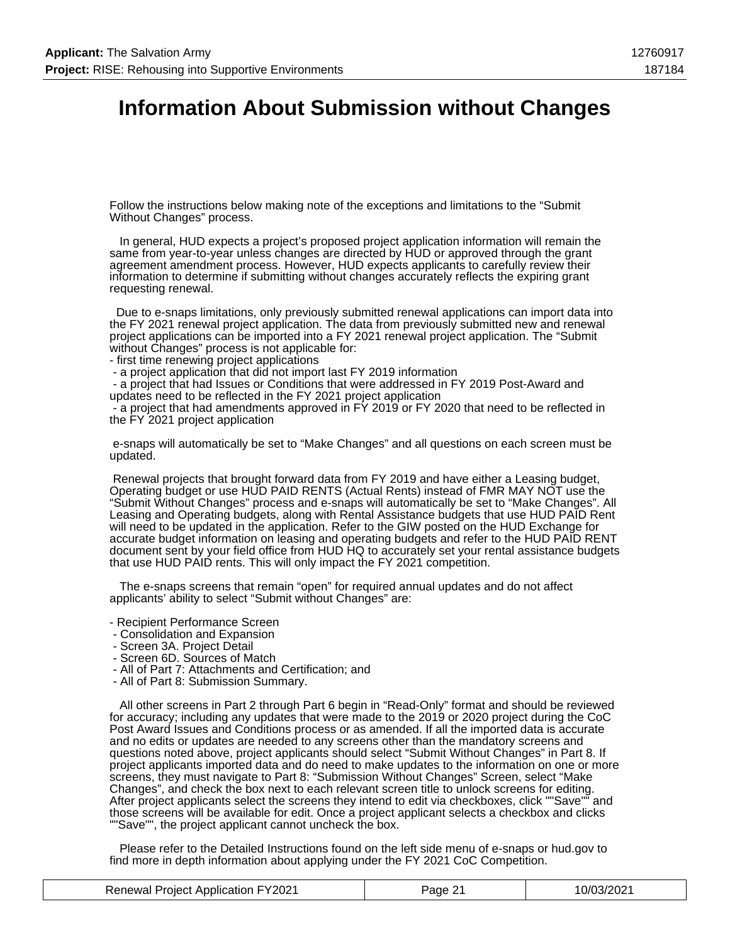### **Information About Submission without Changes**

Follow the instructions below making note of the exceptions and limitations to the "Submit Without Changes" process.

 In general, HUD expects a project's proposed project application information will remain the same from year-to-year unless changes are directed by HUD or approved through the grant agreement amendment process. However, HUD expects applicants to carefully review their information to determine if submitting without changes accurately reflects the expiring grant requesting renewal.

 Due to e-snaps limitations, only previously submitted renewal applications can import data into the FY 2021 renewal project application. The data from previously submitted new and renewal project applications can be imported into a FY 2021 renewal project application. The "Submit without Changes" process is not applicable for:

- first time renewing project applications
- a project application that did not import last FY 2019 information

 - a project that had Issues or Conditions that were addressed in FY 2019 Post-Award and updates need to be reflected in the FY 2021 project application

 - a project that had amendments approved in FY 2019 or FY 2020 that need to be reflected in the FY 2021 project application

 e-snaps will automatically be set to "Make Changes" and all questions on each screen must be updated.

 Renewal projects that brought forward data from FY 2019 and have either a Leasing budget, Operating budget or use HUD PAID RENTS (Actual Rents) instead of FMR MAY NOT use the "Submit Without Changes" process and e-snaps will automatically be set to "Make Changes". All Leasing and Operating budgets, along with Rental Assistance budgets that use HUD PAID Rent will need to be updated in the application. Refer to the GIW posted on the HUD Exchange for accurate budget information on leasing and operating budgets and refer to the HUD PAID RENT document sent by your field office from HUD HQ to accurately set your rental assistance budgets that use HUD PAID rents. This will only impact the FY 2021 competition.

 The e-snaps screens that remain "open" for required annual updates and do not affect applicants' ability to select "Submit without Changes" are:

- Recipient Performance Screen
- Consolidation and Expansion
- Screen 3A. Project Detail
- Screen 6D. Sources of Match
- All of Part 7: Attachments and Certification; and
- All of Part 8: Submission Summary.

 All other screens in Part 2 through Part 6 begin in "Read-Only" format and should be reviewed for accuracy; including any updates that were made to the 2019 or 2020 project during the CoC Post Award Issues and Conditions process or as amended. If all the imported data is accurate and no edits or updates are needed to any screens other than the mandatory screens and questions noted above, project applicants should select "Submit Without Changes" in Part 8. If project applicants imported data and do need to make updates to the information on one or more screens, they must navigate to Part 8: "Submission Without Changes" Screen, select "Make Changes", and check the box next to each relevant screen title to unlock screens for editing. After project applicants select the screens they intend to edit via checkboxes, click ""Save"" and those screens will be available for edit. Once a project applicant selects a checkbox and clicks ""Save"", the project applicant cannot uncheck the box.

 Please refer to the Detailed Instructions found on the left side menu of e-snaps or hud.gov to find more in depth information about applying under the FY 2021 CoC Competition.

| <b>Renewal Project Application FY2021</b> | Page 21 | 10/03/2021 |
|-------------------------------------------|---------|------------|
|-------------------------------------------|---------|------------|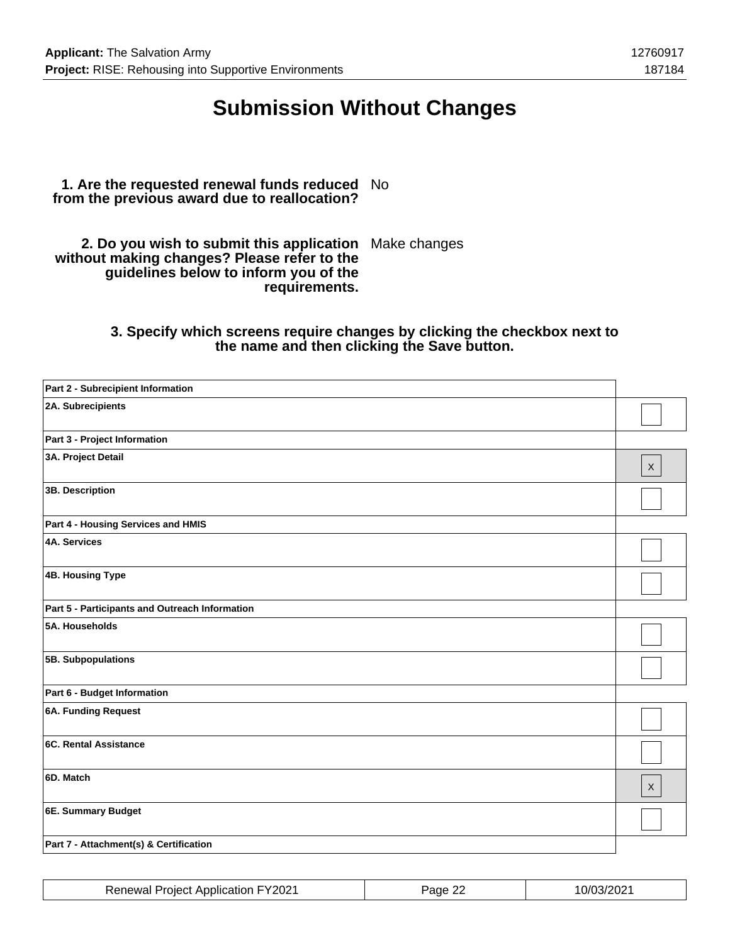## **Submission Without Changes**

#### **1. Are the requested renewal funds reduced** No **from the previous award due to reallocation?**

**2. Do you wish to submit this application** Make changes **without making changes? Please refer to the guidelines below to inform you of the requirements.**

### **3. Specify which screens require changes by clicking the checkbox next to the name and then clicking the Save button.**

| 2A. Subrecipients<br>Part 3 - Project Information<br>3A. Project Detail<br>$\mathsf X$<br>3B. Description<br>Part 4 - Housing Services and HMIS<br><b>4A. Services</b><br><b>4B. Housing Type</b><br>Part 5 - Participants and Outreach Information<br>5A. Households<br>5B. Subpopulations<br>Part 6 - Budget Information<br>6A. Funding Request<br>6C. Rental Assistance<br>6D. Match<br>$\mathsf{X}$<br>6E. Summary Budget<br>Part 7 - Attachment(s) & Certification | Part 2 - Subrecipient Information |  |
|-------------------------------------------------------------------------------------------------------------------------------------------------------------------------------------------------------------------------------------------------------------------------------------------------------------------------------------------------------------------------------------------------------------------------------------------------------------------------|-----------------------------------|--|
|                                                                                                                                                                                                                                                                                                                                                                                                                                                                         |                                   |  |
|                                                                                                                                                                                                                                                                                                                                                                                                                                                                         |                                   |  |
|                                                                                                                                                                                                                                                                                                                                                                                                                                                                         |                                   |  |
|                                                                                                                                                                                                                                                                                                                                                                                                                                                                         |                                   |  |
|                                                                                                                                                                                                                                                                                                                                                                                                                                                                         |                                   |  |
|                                                                                                                                                                                                                                                                                                                                                                                                                                                                         |                                   |  |
|                                                                                                                                                                                                                                                                                                                                                                                                                                                                         |                                   |  |
|                                                                                                                                                                                                                                                                                                                                                                                                                                                                         |                                   |  |
|                                                                                                                                                                                                                                                                                                                                                                                                                                                                         |                                   |  |
|                                                                                                                                                                                                                                                                                                                                                                                                                                                                         |                                   |  |
|                                                                                                                                                                                                                                                                                                                                                                                                                                                                         |                                   |  |
|                                                                                                                                                                                                                                                                                                                                                                                                                                                                         |                                   |  |
|                                                                                                                                                                                                                                                                                                                                                                                                                                                                         |                                   |  |
|                                                                                                                                                                                                                                                                                                                                                                                                                                                                         |                                   |  |
|                                                                                                                                                                                                                                                                                                                                                                                                                                                                         |                                   |  |
|                                                                                                                                                                                                                                                                                                                                                                                                                                                                         |                                   |  |

| <b>Renewal Project Application FY2021</b> | Page 22 | 10/03/2021 |
|-------------------------------------------|---------|------------|
|-------------------------------------------|---------|------------|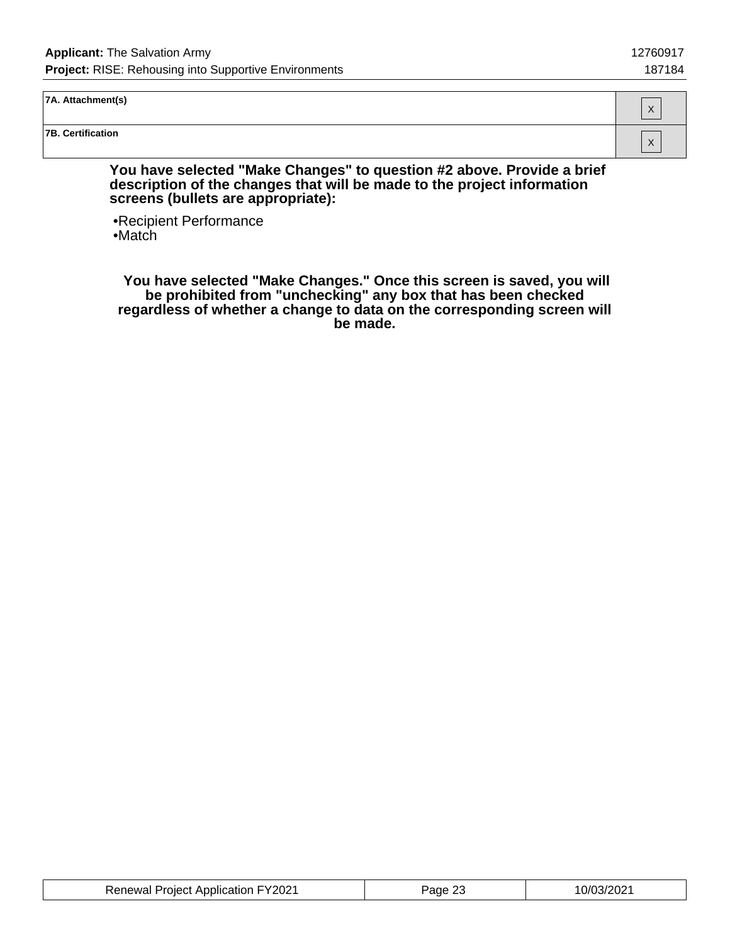**7A. Attachment(s)**

**7B. Certification**

**You have selected "Make Changes" to question #2 above. Provide a brief description of the changes that will be made to the project information screens (bullets are appropriate):**

•Recipient Performance •Match

 **You have selected "Make Changes." Once this screen is saved, you will be prohibited from "unchecking" any box that has been checked regardless of whether a change to data on the corresponding screen will be made.**

| <b>Renewal Project Application FY2021</b> | Page 23 | 10/03/2021 |
|-------------------------------------------|---------|------------|
|-------------------------------------------|---------|------------|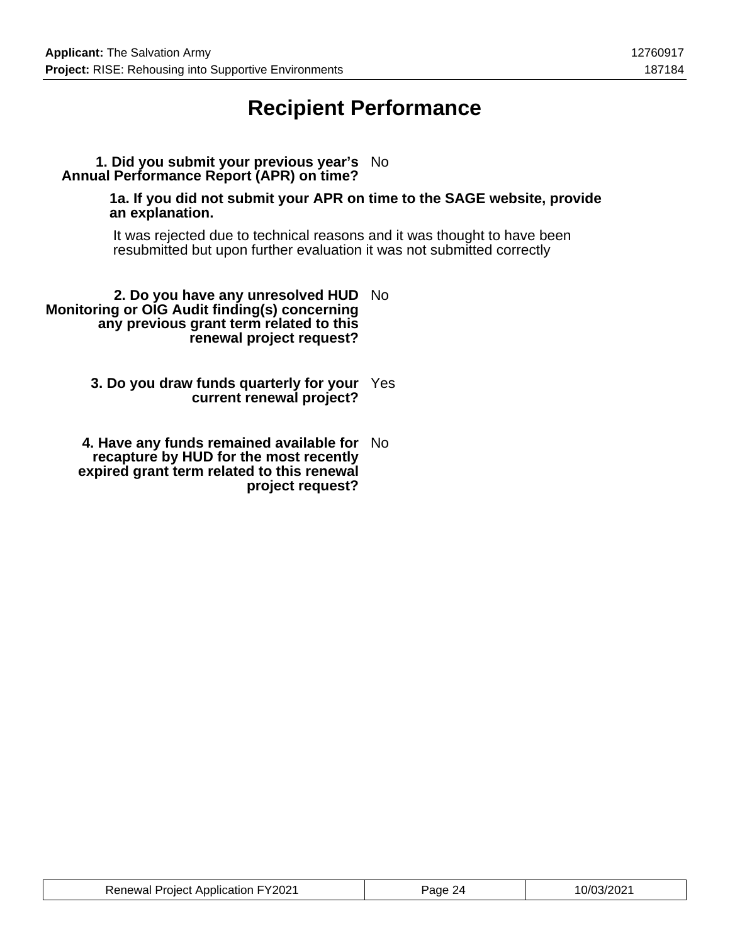## **Recipient Performance**

### **1. Did you submit your previous year's** No **Annual Performance Report (APR) on time?**

**1a. If you did not submit your APR on time to the SAGE website, provide an explanation.**

It was rejected due to technical reasons and it was thought to have been resubmitted but upon further evaluation it was not submitted correctly

**2. Do you have any unresolved HUD** No **Monitoring or OIG Audit finding(s) concerning any previous grant term related to this renewal project request?**

> **3. Do you draw funds quarterly for your** Yes **current renewal project?**

**4. Have any funds remained available for** No **recapture by HUD for the most recently expired grant term related to this renewal project request?**

| <b>Renewal Project Application FY2021</b> | Page 24 | 10/03/2021 |
|-------------------------------------------|---------|------------|
|-------------------------------------------|---------|------------|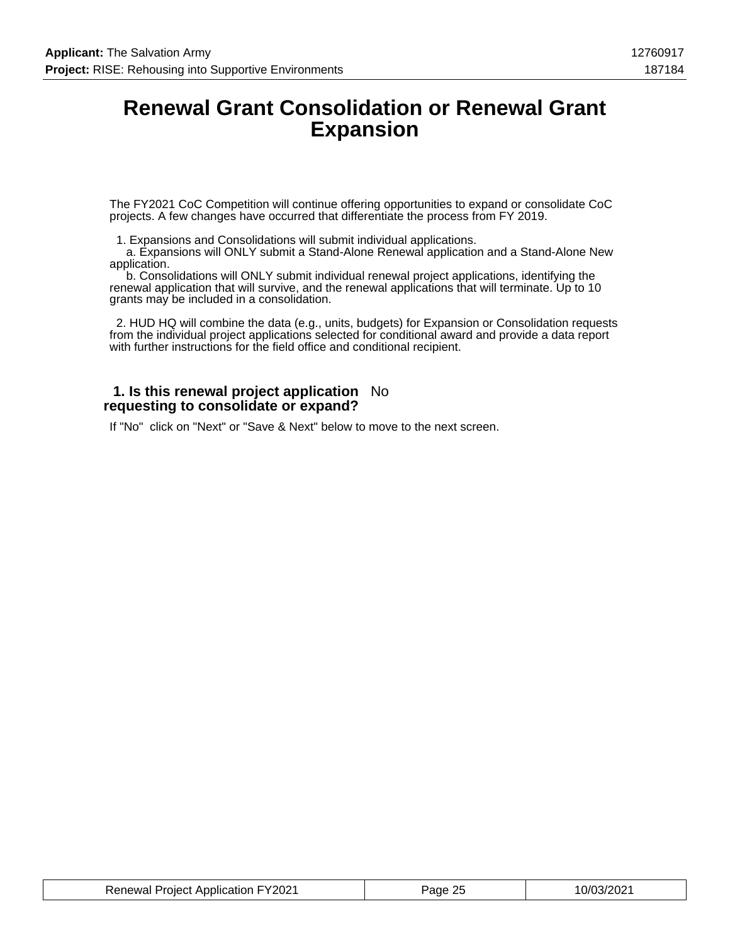### **Renewal Grant Consolidation or Renewal Grant Expansion**

The FY2021 CoC Competition will continue offering opportunities to expand or consolidate CoC projects. A few changes have occurred that differentiate the process from FY 2019.

1. Expansions and Consolidations will submit individual applications.

 a. Expansions will ONLY submit a Stand-Alone Renewal application and a Stand-Alone New application.

 b. Consolidations will ONLY submit individual renewal project applications, identifying the renewal application that will survive, and the renewal applications that will terminate. Up to 10 grants may be included in a consolidation.

 2. HUD HQ will combine the data (e.g., units, budgets) for Expansion or Consolidation requests from the individual project applications selected for conditional award and provide a data report with further instructions for the field office and conditional recipient.

#### **1. Is this renewal project application** No **requesting to consolidate or expand?**

If "No" click on "Next" or "Save & Next" below to move to the next screen.

| <b>Renewal Project Application FY2021</b> | Page 25 | 10/03/2021 |
|-------------------------------------------|---------|------------|
|-------------------------------------------|---------|------------|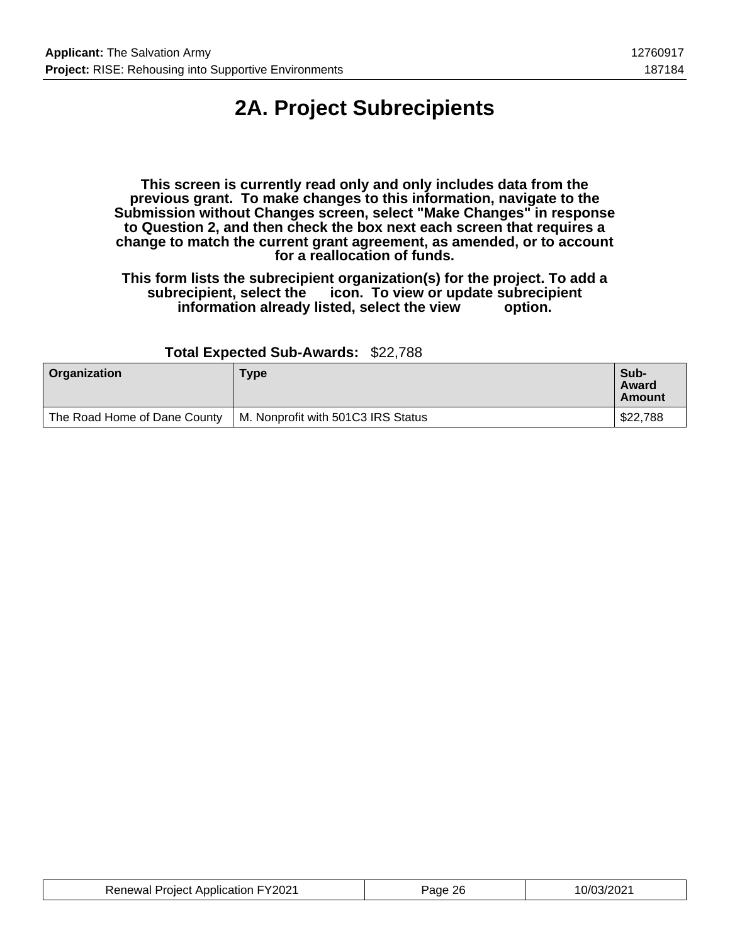# **2A. Project Subrecipients**

**This screen is currently read only and only includes data from the previous grant. To make changes to this information, navigate to the Submission without Changes screen, select "Make Changes" in response to Question 2, and then check the box next each screen that requires a change to match the current grant agreement, as amended, or to account for a reallocation of funds.**

**This form lists the subrecipient organization(s) for the project. To add a subrecipient, select the icon. To view or update subrecipient** information already listed, select the view

| <b>Organization</b>          | Type                               | Sub-<br>Award<br>Amount |
|------------------------------|------------------------------------|-------------------------|
| The Road Home of Dane County | M. Nonprofit with 501C3 IRS Status | \$22,788                |

#### **Total Expected Sub-Awards:** \$22,788

| <b>Renewal Project Application FY2021</b> | Page 26 | 10/03/2021 |
|-------------------------------------------|---------|------------|
|-------------------------------------------|---------|------------|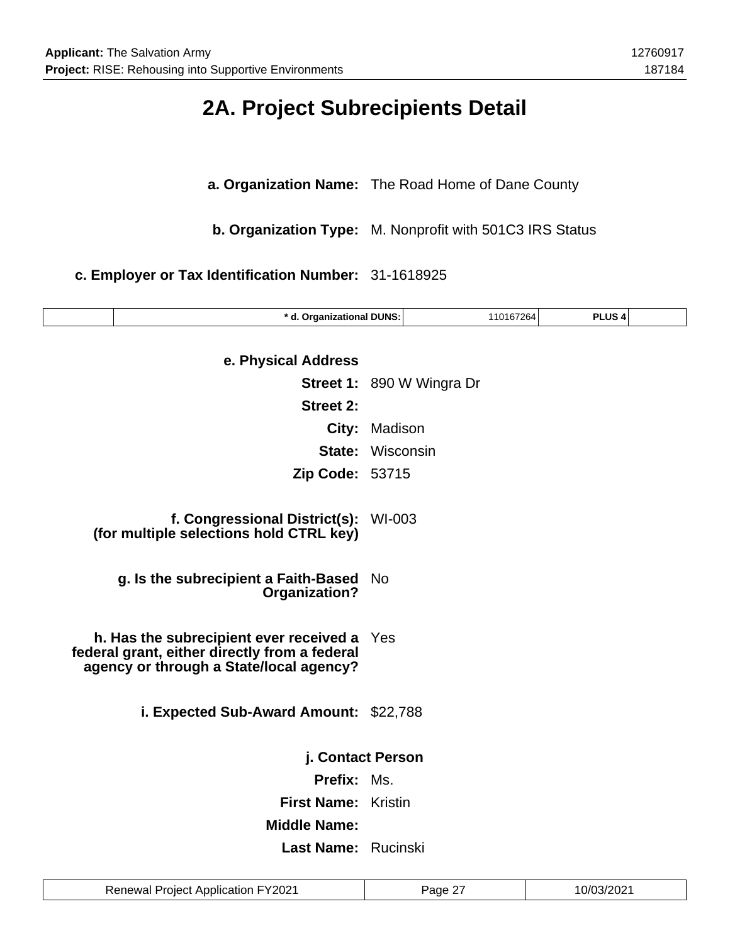### **2A. Project Subrecipients Detail**

**a. Organization Name:** The Road Home of Dane County

**b. Organization Type:** M. Nonprofit with 501C3 IRS Status

**c. Employer or Tax Identification Number:** 31-1618925

| * d. Organizational DUNS:                                                                                                           |                                  | 110167264 | PLUS <sub>4</sub> |  |
|-------------------------------------------------------------------------------------------------------------------------------------|----------------------------------|-----------|-------------------|--|
| e. Physical Address                                                                                                                 |                                  |           |                   |  |
|                                                                                                                                     | <b>Street 1: 890 W Wingra Dr</b> |           |                   |  |
| <b>Street 2:</b>                                                                                                                    |                                  |           |                   |  |
|                                                                                                                                     |                                  |           |                   |  |
| City:                                                                                                                               | Madison                          |           |                   |  |
|                                                                                                                                     | <b>State: Wisconsin</b>          |           |                   |  |
| <b>Zip Code: 53715</b>                                                                                                              |                                  |           |                   |  |
| f. Congressional District(s):<br>(for multiple selections hold CTRL key)                                                            | WI-003                           |           |                   |  |
| g. Is the subrecipient a Faith-Based                                                                                                | <b>No</b>                        |           |                   |  |
| Organization?                                                                                                                       |                                  |           |                   |  |
| h. Has the subrecipient ever received a<br>federal grant, either directly from a federal<br>agency or through a State/local agency? | Yes                              |           |                   |  |
| i. Expected Sub-Award Amount: \$22,788                                                                                              |                                  |           |                   |  |
|                                                                                                                                     |                                  |           |                   |  |
| j. Contact Person                                                                                                                   |                                  |           |                   |  |
| Prefix: Ms.                                                                                                                         |                                  |           |                   |  |
| <b>First Name: Kristin</b>                                                                                                          |                                  |           |                   |  |
| <b>Middle Name:</b>                                                                                                                 |                                  |           |                   |  |
| Last Name: Rucinski                                                                                                                 |                                  |           |                   |  |
|                                                                                                                                     |                                  |           |                   |  |

Renewal Project Application FY2021 | Page 27 | 10/03/2021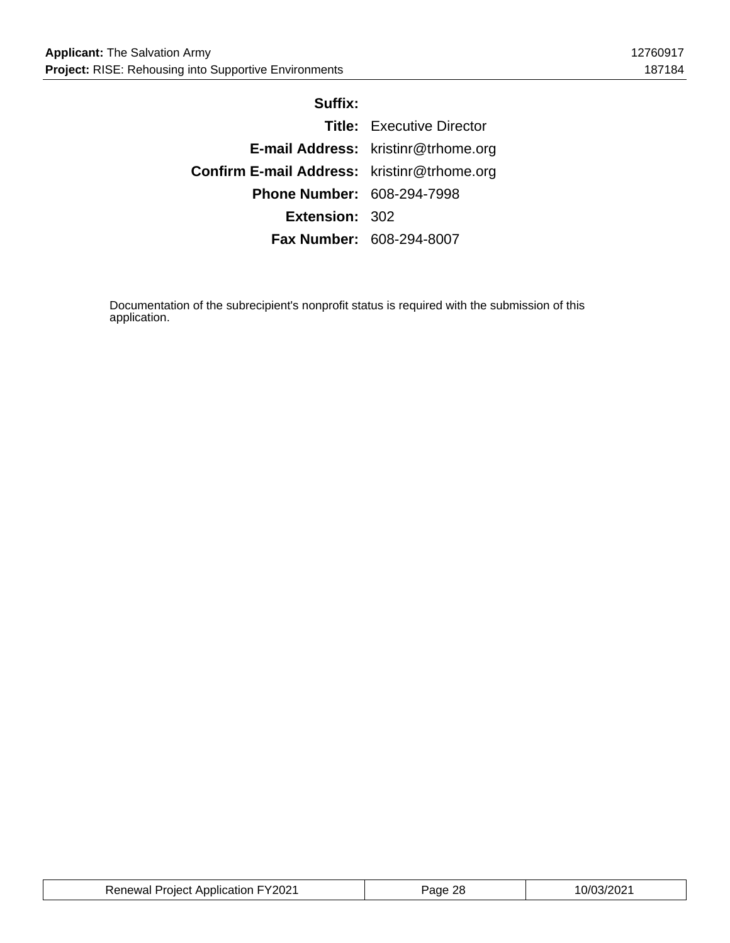#### **Suffix:**

|                                                    | <b>Title:</b> Executive Director    |
|----------------------------------------------------|-------------------------------------|
|                                                    | E-mail Address: kristinr@trhome.org |
| <b>Confirm E-mail Address:</b> kristinr@trhome.org |                                     |
| <b>Phone Number: 608-294-7998</b>                  |                                     |
| Extension: 302                                     |                                     |
|                                                    | <b>Fax Number: 608-294-8007</b>     |

Documentation of the subrecipient's nonprofit status is required with the submission of this application.

| <b>Renewal Project Application FY2021</b> | <sup>2</sup> age 28 | 10/03/2021 |
|-------------------------------------------|---------------------|------------|
|-------------------------------------------|---------------------|------------|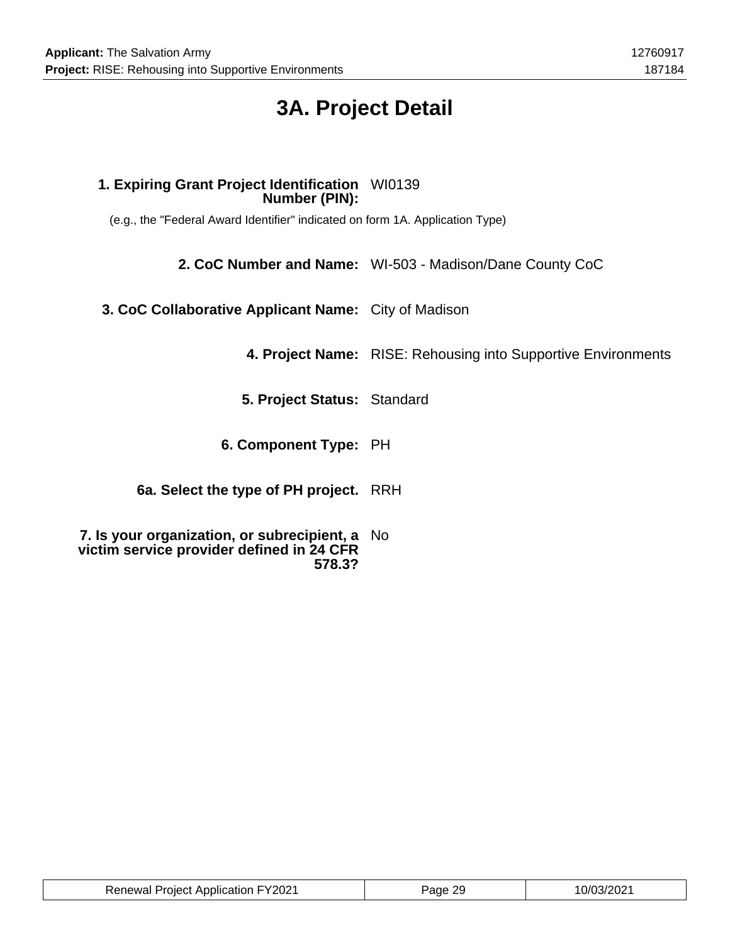# **3A. Project Detail**

### **1. Expiring Grant Project Identification** WI0139 **Number (PIN):**

(e.g., the "Federal Award Identifier" indicated on form 1A. Application Type)

**2. CoC Number and Name:** WI-503 - Madison/Dane County CoC

**3. CoC Collaborative Applicant Name:** City of Madison

**4. Project Name:** RISE: Rehousing into Supportive Environments

**5. Project Status:** Standard

**6. Component Type:** PH

**6a. Select the type of PH project.** RRH

**7. Is your organization, or subrecipient, a** No **victim service provider defined in 24 CFR 578.3?**

| <b>Renewal Project Application FY2021</b> | Page 29 | 10/03/2021 |
|-------------------------------------------|---------|------------|
|-------------------------------------------|---------|------------|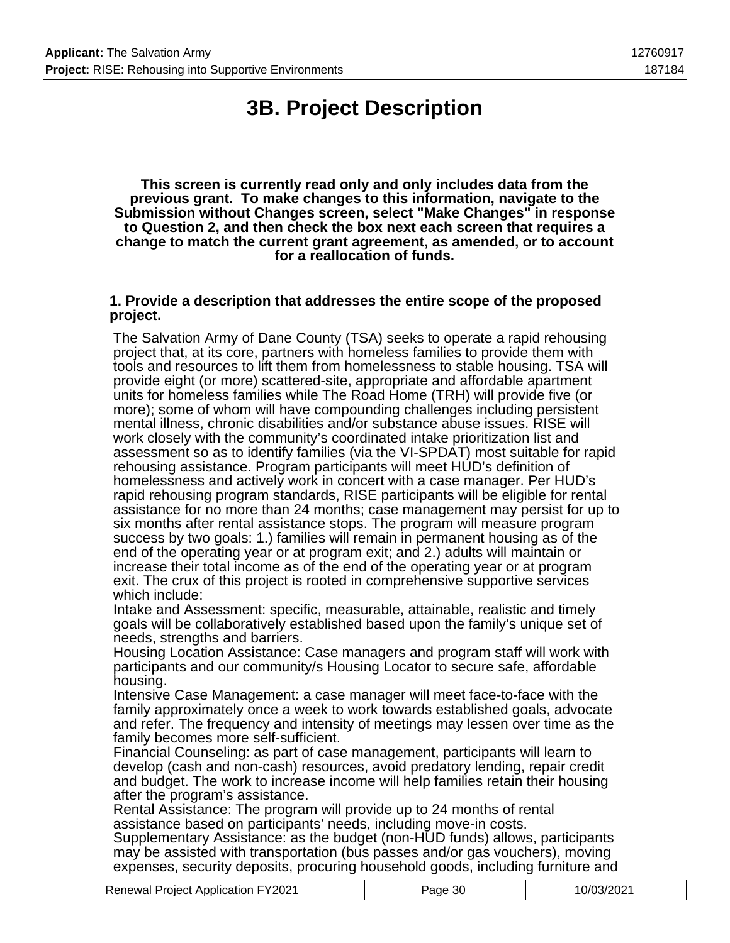# **3B. Project Description**

**This screen is currently read only and only includes data from the previous grant. To make changes to this information, navigate to the Submission without Changes screen, select "Make Changes" in response to Question 2, and then check the box next each screen that requires a change to match the current grant agreement, as amended, or to account for a reallocation of funds.**

#### **1. Provide a description that addresses the entire scope of the proposed project.**

The Salvation Army of Dane County (TSA) seeks to operate a rapid rehousing project that, at its core, partners with homeless families to provide them with tools and resources to lift them from homelessness to stable housing. TSA will provide eight (or more) scattered-site, appropriate and affordable apartment units for homeless families while The Road Home (TRH) will provide five (or more); some of whom will have compounding challenges including persistent mental illness, chronic disabilities and/or substance abuse issues. RISE will work closely with the community's coordinated intake prioritization list and assessment so as to identify families (via the VI-SPDAT) most suitable for rapid rehousing assistance. Program participants will meet HUD's definition of homelessness and actively work in concert with a case manager. Per HUD's rapid rehousing program standards, RISE participants will be eligible for rental assistance for no more than 24 months; case management may persist for up to six months after rental assistance stops. The program will measure program success by two goals: 1.) families will remain in permanent housing as of the end of the operating year or at program exit; and 2.) adults will maintain or increase their total income as of the end of the operating year or at program exit. The crux of this project is rooted in comprehensive supportive services which include:

Intake and Assessment: specific, measurable, attainable, realistic and timely goals will be collaboratively established based upon the family's unique set of needs, strengths and barriers.

Housing Location Assistance: Case managers and program staff will work with participants and our community/s Housing Locator to secure safe, affordable housing.

Intensive Case Management: a case manager will meet face-to-face with the family approximately once a week to work towards established goals, advocate and refer. The frequency and intensity of meetings may lessen over time as the family becomes more self-sufficient.

Financial Counseling: as part of case management, participants will learn to develop (cash and non-cash) resources, avoid predatory lending, repair credit and budget. The work to increase income will help families retain their housing after the program's assistance.

Rental Assistance: The program will provide up to 24 months of rental assistance based on participants' needs, including move-in costs.

Supplementary Assistance: as the budget (non-HUD funds) allows, participants may be assisted with transportation (bus passes and/or gas vouchers), moving expenses, security deposits, procuring household goods, including furniture and

| <b>Renewal Project Application FY2021</b> | Page 30 | 10/03/2021 |
|-------------------------------------------|---------|------------|
|-------------------------------------------|---------|------------|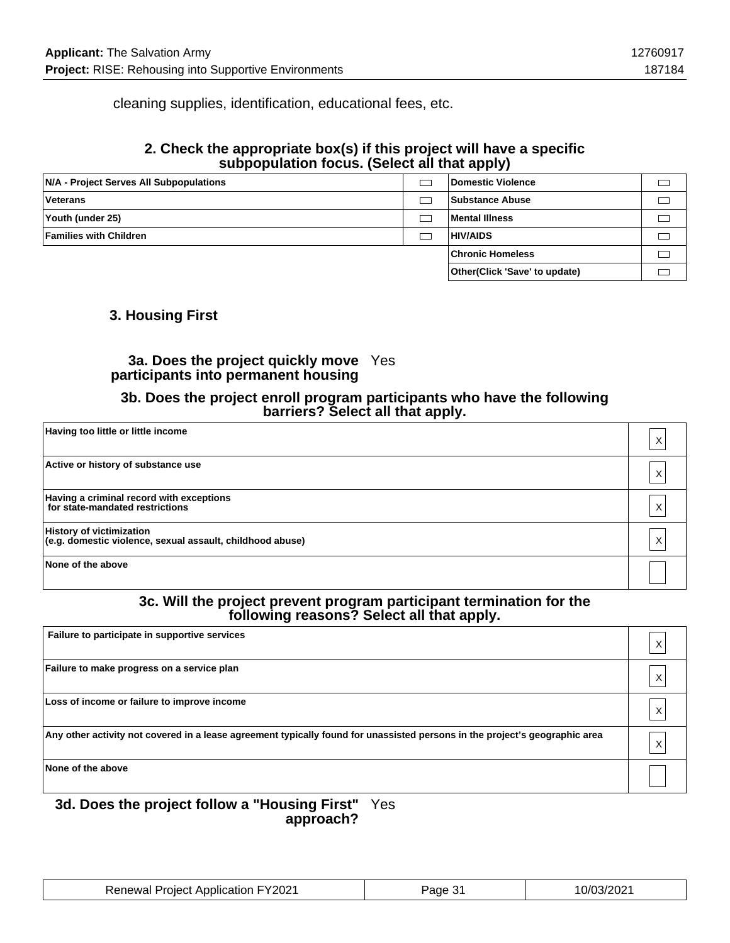cleaning supplies, identification, educational fees, etc.

### **2. Check the appropriate box(s) if this project will have a specific subpopulation focus. (Select all that apply)**

| N/A - Project Serves All Subpopulations | Domestic Violence             |  |
|-----------------------------------------|-------------------------------|--|
| Veterans                                | Substance Abuse               |  |
| Youth (under 25)                        | Mental Illness                |  |
| <b>Families with Children</b>           | <b>HIV/AIDS</b>               |  |
|                                         | <b>Chronic Homeless</b>       |  |
|                                         | Other(Click 'Save' to update) |  |

### **3. Housing First**

#### **3a. Does the project quickly move** Yes **participants into permanent housing**

#### **3b. Does the project enroll program participants who have the following barriers? Select all that apply.**

| Having too little or little income                                                           | Χ |
|----------------------------------------------------------------------------------------------|---|
| Active or history of substance use                                                           | X |
| Having a criminal record with exceptions<br>for state-mandated restrictions                  | Χ |
| <b>History of victimization</b><br>(e.g. domestic violence, sexual assault, childhood abuse) | X |
| None of the above                                                                            |   |

#### **3c. Will the project prevent program participant termination for the following reasons? Select all that apply.**

| Failure to participate in supportive services                                                                               |   |
|-----------------------------------------------------------------------------------------------------------------------------|---|
| Failure to make progress on a service plan                                                                                  |   |
| Loss of income or failure to improve income                                                                                 | X |
| Any other activity not covered in a lease agreement typically found for unassisted persons in the project's geographic area |   |
| None of the above                                                                                                           |   |

#### **3d. Does the project follow a "Housing First"** Yes **approach?**

| <b>Renewal Project Application FY2021</b> | Page 31 | 10/03/2021 |
|-------------------------------------------|---------|------------|
|-------------------------------------------|---------|------------|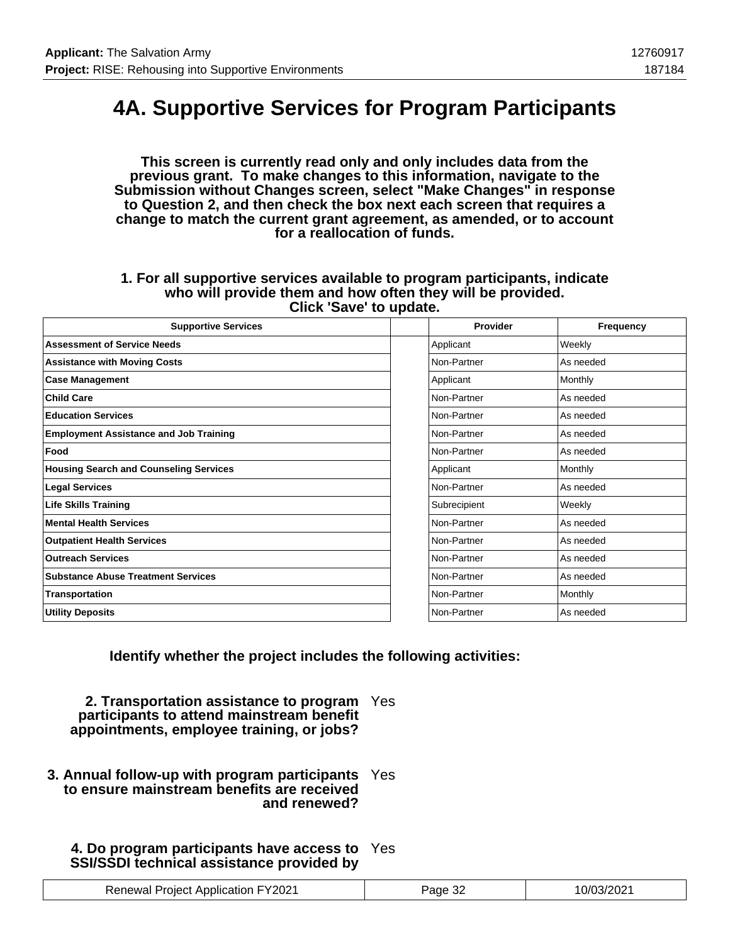### **4A. Supportive Services for Program Participants**

**This screen is currently read only and only includes data from the previous grant. To make changes to this information, navigate to the Submission without Changes screen, select "Make Changes" in response to Question 2, and then check the box next each screen that requires a change to match the current grant agreement, as amended, or to account for a reallocation of funds.**

#### **1. For all supportive services available to program participants, indicate who will provide them and how often they will be provided. Click 'Save' to update.**

| <b>Supportive Services</b>                    | Provider     | Frequency |
|-----------------------------------------------|--------------|-----------|
| <b>Assessment of Service Needs</b>            | Applicant    | Weekly    |
| <b>Assistance with Moving Costs</b>           | Non-Partner  | As needed |
| <b>Case Management</b>                        | Applicant    | Monthly   |
| <b>Child Care</b>                             | Non-Partner  | As needed |
| <b>Education Services</b>                     | Non-Partner  | As needed |
| <b>Employment Assistance and Job Training</b> | Non-Partner  | As needed |
| Food                                          | Non-Partner  | As needed |
| <b>Housing Search and Counseling Services</b> | Applicant    | Monthly   |
| <b>Legal Services</b>                         | Non-Partner  | As needed |
| <b>Life Skills Training</b>                   | Subrecipient | Weekly    |
| <b>Mental Health Services</b>                 | Non-Partner  | As needed |
| <b>Outpatient Health Services</b>             | Non-Partner  | As needed |
| <b>Outreach Services</b>                      | Non-Partner  | As needed |
| <b>Substance Abuse Treatment Services</b>     | Non-Partner  | As needed |
| Transportation                                | Non-Partner  | Monthly   |
| <b>Utility Deposits</b>                       | Non-Partner  | As needed |

**Identify whether the project includes the following activities:**

**2. Transportation assistance to program** Yes **participants to attend mainstream benefit appointments, employee training, or jobs?**

**3. Annual follow-up with program participants** Yes **to ensure mainstream benefits are received and renewed?**

### **4. Do program participants have access to** Yes **SSI/SSDI technical assistance provided by**

| <b>Renewal Project Application FY2021</b> | Page 32 | 10/03/2021 |
|-------------------------------------------|---------|------------|
|-------------------------------------------|---------|------------|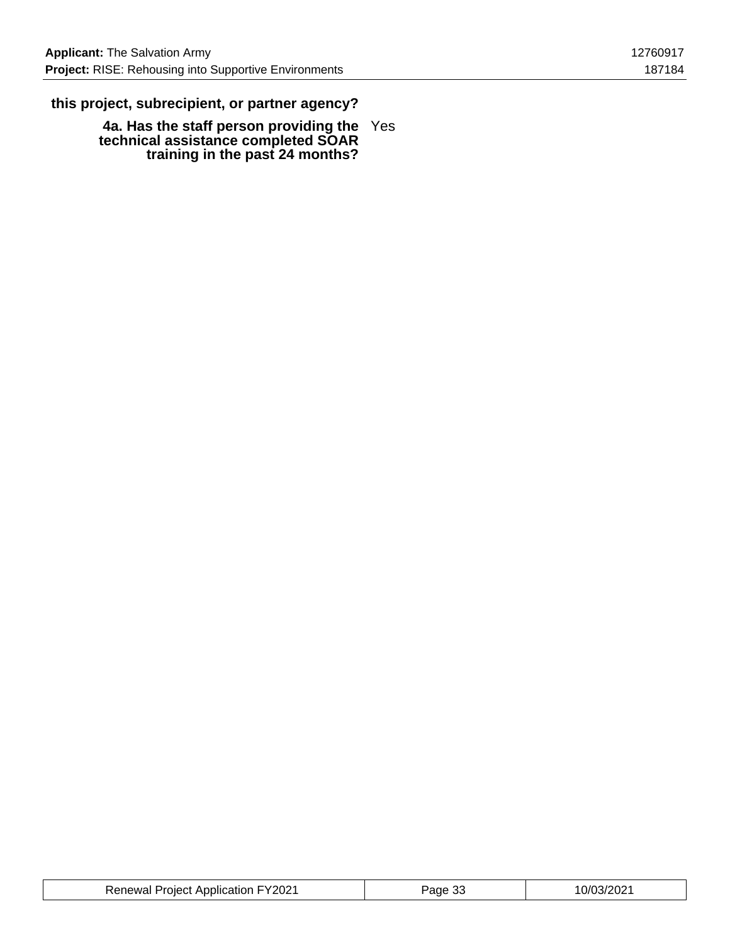### **this project, subrecipient, or partner agency?**

**4a. Has the staff person providing the technical assistance completed SOAR training in the past 24 months?** Yes

| <b>Renewal Project Application FY2021</b> | Page 33 | 10/03/2021 |
|-------------------------------------------|---------|------------|
|-------------------------------------------|---------|------------|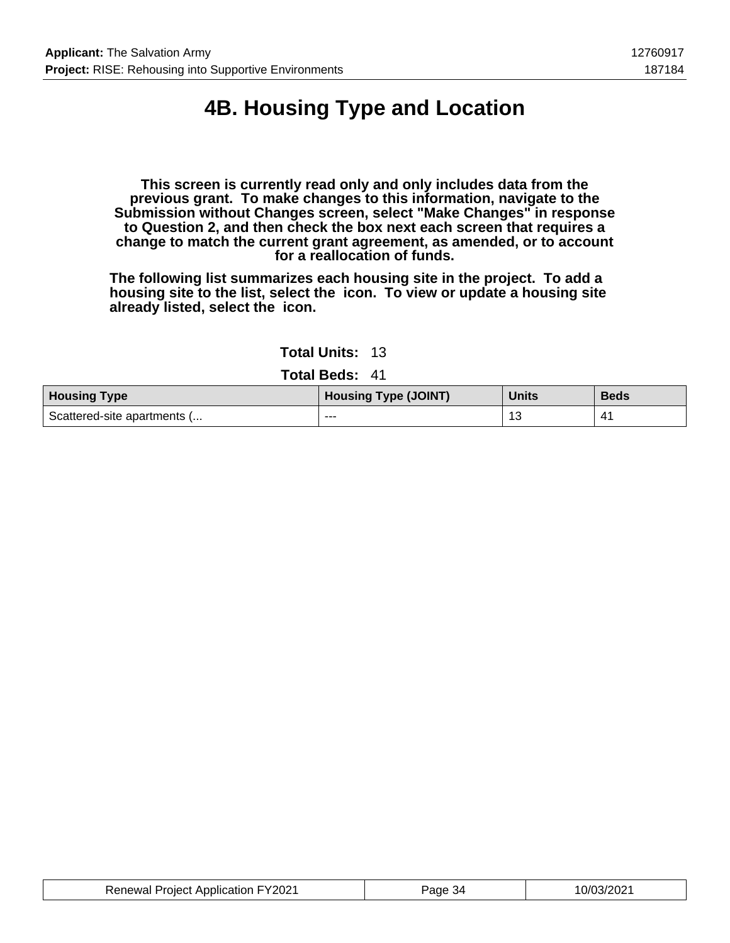# **4B. Housing Type and Location**

**This screen is currently read only and only includes data from the previous grant. To make changes to this information, navigate to the Submission without Changes screen, select "Make Changes" in response to Question 2, and then check the box next each screen that requires a change to match the current grant agreement, as amended, or to account for a reallocation of funds.**

**The following list summarizes each housing site in the project. To add a housing site to the list, select the icon. To view or update a housing site already listed, select the icon.**

|  | <b>Total Units:</b> | 13 |
|--|---------------------|----|
|--|---------------------|----|

**Total Beds:** 41

| <b>Housing Type</b>         | <b>Housing Type (JOINT)</b> | <b>Units</b> | <b>Beds</b> |
|-----------------------------|-----------------------------|--------------|-------------|
| Scattered-site apartments ( | ---                         | 1'           |             |

| <b>Renewal Project Application FY2021</b> | Page 34 | 10/03/2021 |
|-------------------------------------------|---------|------------|
|-------------------------------------------|---------|------------|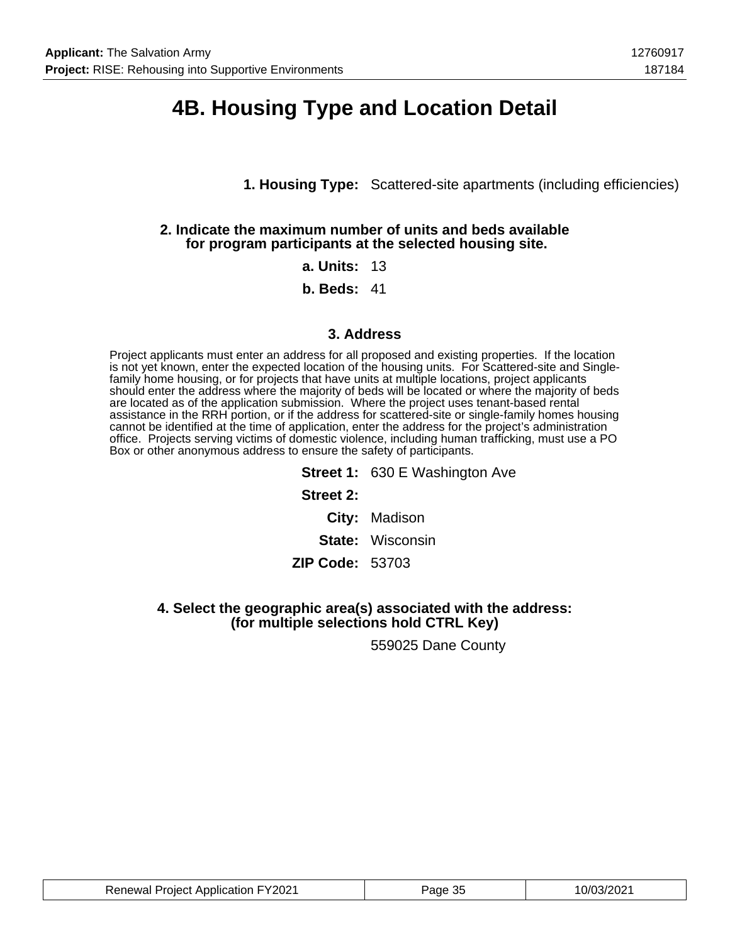### **4B. Housing Type and Location Detail**

**1. Housing Type:** Scattered-site apartments (including efficiencies)

#### **2. Indicate the maximum number of units and beds available for program participants at the selected housing site.**

#### **a. Units:** 13

**b. Beds:** 41

#### **3. Address**

Project applicants must enter an address for all proposed and existing properties. If the location is not yet known, enter the expected location of the housing units. For Scattered-site and Singlefamily home housing, or for projects that have units at multiple locations, project applicants should enter the address where the majority of beds will be located or where the majority of beds are located as of the application submission. Where the project uses tenant-based rental assistance in the RRH portion, or if the address for scattered-site or single-family homes housing cannot be identified at the time of application, enter the address for the project's administration office. Projects serving victims of domestic violence, including human trafficking, must use a PO Box or other anonymous address to ensure the safety of participants.

> **Street 1: 630 E Washington Ave Street 2: City:** Madison **State:** Wisconsin **ZIP Code:** 53703

**4. Select the geographic area(s) associated with the address: (for multiple selections hold CTRL Key)**

559025 Dane County

| <b>Renewal Project Application FY2021</b> | апе<br>ື | 10/03/2<br>יממכ<br>υz |
|-------------------------------------------|----------|-----------------------|
|-------------------------------------------|----------|-----------------------|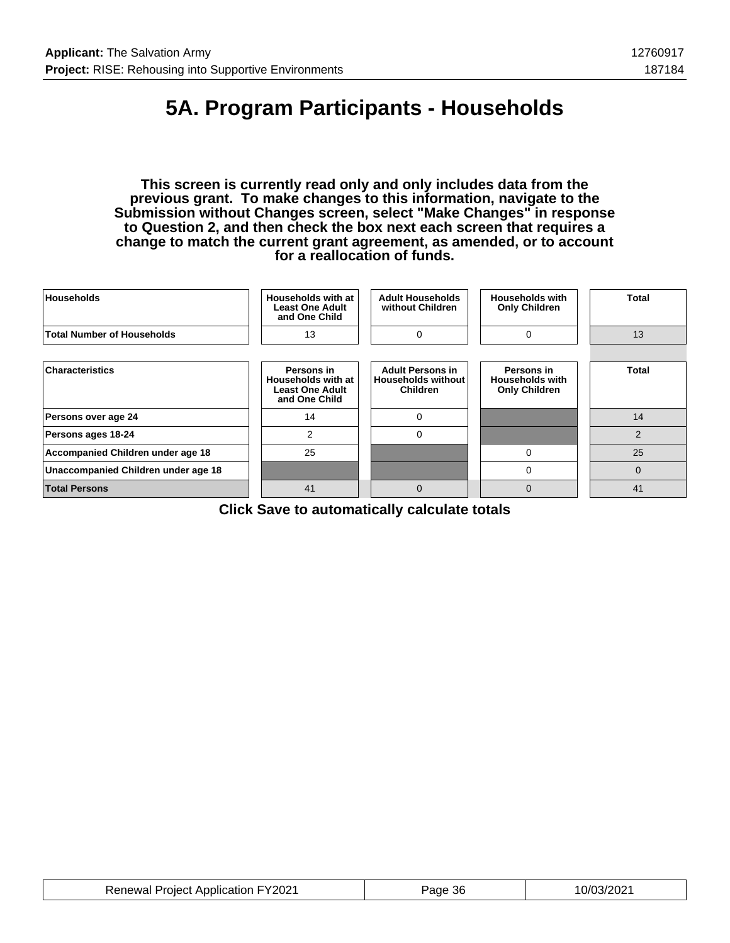## **5A. Program Participants - Households**

**This screen is currently read only and only includes data from the previous grant. To make changes to this information, navigate to the Submission without Changes screen, select "Make Changes" in response to Question 2, and then check the box next each screen that requires a change to match the current grant agreement, as amended, or to account for a reallocation of funds.**

| <b>Households</b>                   | Households with at<br><b>Least One Adult</b><br>and One Child               | <b>Adult Households</b><br>without Children                             | <b>Households with</b><br><b>Only Children</b>               | Total          |
|-------------------------------------|-----------------------------------------------------------------------------|-------------------------------------------------------------------------|--------------------------------------------------------------|----------------|
| <b>Total Number of Households</b>   | 13                                                                          | $\Omega$                                                                | $\Omega$                                                     | 13             |
|                                     |                                                                             |                                                                         |                                                              |                |
| <b>Characteristics</b>              | Persons in<br>Households with at<br><b>Least One Adult</b><br>and One Child | <b>Adult Persons in</b><br><b>Households without</b><br><b>Children</b> | Persons in<br><b>Households with</b><br><b>Only Children</b> | <b>Total</b>   |
| Persons over age 24                 | 14                                                                          | $\Omega$                                                                |                                                              | 14             |
| Persons ages 18-24                  | $\overline{2}$                                                              | $\Omega$                                                                |                                                              | $\overline{2}$ |
| Accompanied Children under age 18   | 25                                                                          |                                                                         | 0                                                            | 25             |
| Unaccompanied Children under age 18 |                                                                             |                                                                         | 0                                                            | $\overline{0}$ |
| <b>Total Persons</b>                | 41                                                                          | $\Omega$                                                                | $\mathbf 0$                                                  | 41             |

**Click Save to automatically calculate totals**

| <b>Renewal Project Application FY2021</b> | Page 36 | 10/03/2021 |
|-------------------------------------------|---------|------------|
|-------------------------------------------|---------|------------|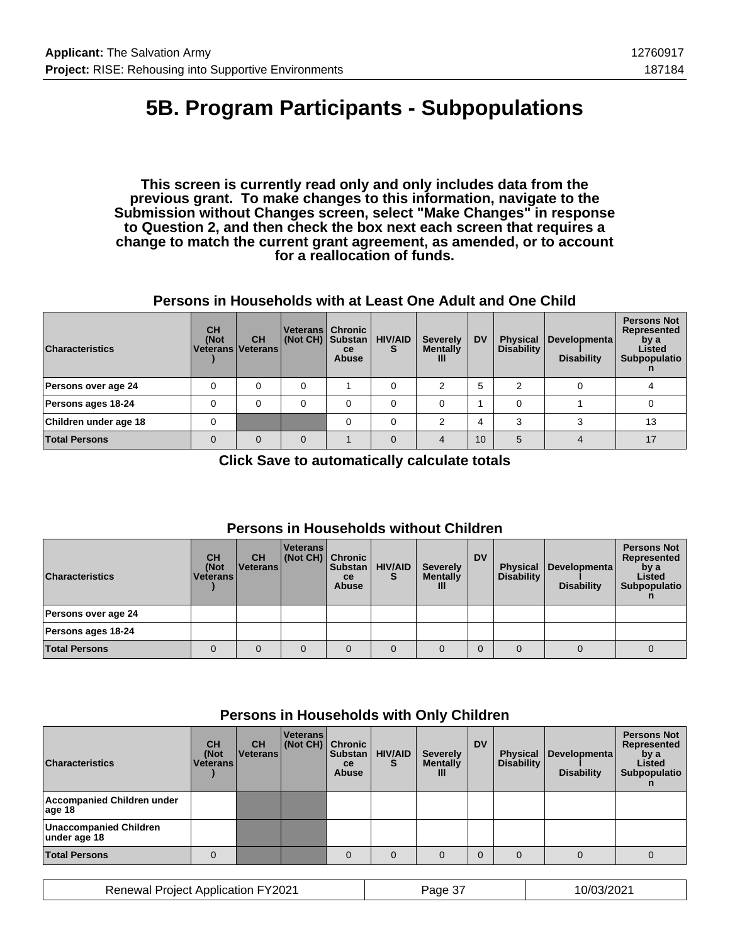## **5B. Program Participants - Subpopulations**

**This screen is currently read only and only includes data from the previous grant. To make changes to this information, navigate to the Submission without Changes screen, select "Make Changes" in response to Question 2, and then check the box next each screen that requires a change to match the current grant agreement, as amended, or to account for a reallocation of funds.**

#### **Persons in Households with at Least One Adult and One Child**

| <b>Characteristics</b> | <b>CH</b><br>(Not<br>Veterans   Veterans | <b>CH</b> | (Not CH) Substan | Veterans Chronic<br><sub>ce</sub><br><b>Abuse</b> | <b>HIV/AID</b><br>S | <b>Severely</b><br><b>Mentally</b><br>Ш | <b>DV</b> | <b>Physical</b><br><b>Disability</b> | Developmenta<br><b>Disability</b> | <b>Persons Not</b><br>Represented<br>by a<br>Listed<br>Subpopulatio |
|------------------------|------------------------------------------|-----------|------------------|---------------------------------------------------|---------------------|-----------------------------------------|-----------|--------------------------------------|-----------------------------------|---------------------------------------------------------------------|
| Persons over age 24    |                                          | 0         |                  |                                                   |                     | 2                                       | 5         |                                      |                                   |                                                                     |
| Persons ages 18-24     |                                          | 0         |                  | 0                                                 |                     |                                         |           |                                      |                                   |                                                                     |
| Children under age 18  | 0                                        |           |                  |                                                   |                     | ◠                                       | 4         | ◠                                    |                                   | 13                                                                  |
| <b>Total Persons</b>   |                                          | $\Omega$  | $\Omega$         |                                                   | $\Omega$            |                                         | 10        |                                      |                                   | 17                                                                  |

**Click Save to automatically calculate totals**

#### **Persons in Households without Children**

| <b>Characteristics</b> | <b>CH</b><br>(Not<br>l Veterans l | <b>CH</b><br><u> Veterans </u> | <b>Veterans</b><br>(Not CH) Chronic | <b>Substan</b><br>ce<br><b>Abuse</b> | <b>HIV/AID</b><br>S | <b>Severely</b><br><b>Mentally</b><br>Ш | <b>DV</b> | <b>Disability</b> | Physical Developmenta<br><b>Disability</b> | <b>Persons Not</b><br>Represented<br>by a<br>Listed<br>Subpopulatio |
|------------------------|-----------------------------------|--------------------------------|-------------------------------------|--------------------------------------|---------------------|-----------------------------------------|-----------|-------------------|--------------------------------------------|---------------------------------------------------------------------|
| Persons over age 24    |                                   |                                |                                     |                                      |                     |                                         |           |                   |                                            |                                                                     |
| Persons ages 18-24     |                                   |                                |                                     |                                      |                     |                                         |           |                   |                                            |                                                                     |
| <b>Total Persons</b>   |                                   |                                | 0                                   | 0                                    | $\mathbf 0$         |                                         |           | $\Omega$          |                                            | 0                                                                   |

### **Persons in Households with Only Children**

| <b>Characteristics</b>                        | <b>CH</b><br>(Not<br><b>Veterans</b> | <b>CH</b><br><b>Veterans</b> | Veterans<br>(Not CH) Chronic | <b>Substan</b><br>ce<br><b>Abuse</b> | <b>HIV/AID</b><br>S | <b>Severely</b><br><b>Mentally</b><br>Ш | <b>DV</b> | <b>Physical</b><br><b>Disability</b> | Developmenta<br><b>Disability</b> | <b>Persons Not</b><br>Represented<br>by a<br>Listed<br>Subpopulatio |
|-----------------------------------------------|--------------------------------------|------------------------------|------------------------------|--------------------------------------|---------------------|-----------------------------------------|-----------|--------------------------------------|-----------------------------------|---------------------------------------------------------------------|
| Accompanied Children under<br>age 18          |                                      |                              |                              |                                      |                     |                                         |           |                                      |                                   |                                                                     |
| <b>Unaccompanied Children</b><br>under age 18 |                                      |                              |                              |                                      |                     |                                         |           |                                      |                                   |                                                                     |
| <b>Total Persons</b>                          |                                      |                              |                              | $\Omega$                             | $\Omega$            |                                         |           | $\Omega$                             |                                   |                                                                     |

| <b>Renewal Project Application FY2021</b> | aae<br>، ت | 10/03/2021 |
|-------------------------------------------|------------|------------|
|-------------------------------------------|------------|------------|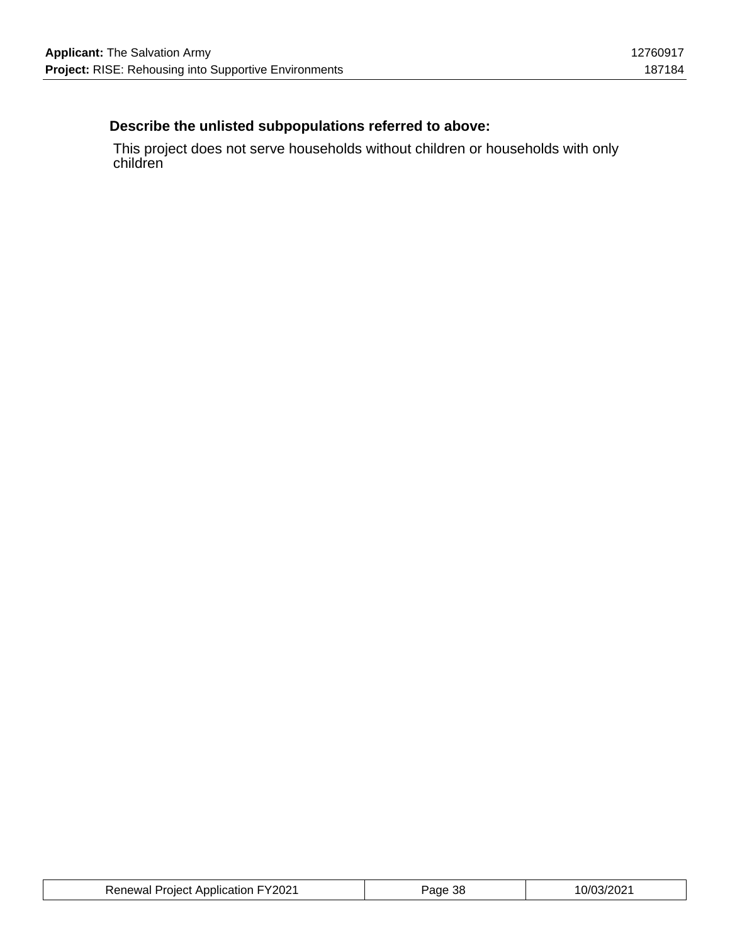### **Describe the unlisted subpopulations referred to above:**

This project does not serve households without children or households with only children

| <b>Renewal Project Application FY2021</b> | ane<br>- OC | 10/03/2021 |
|-------------------------------------------|-------------|------------|
|-------------------------------------------|-------------|------------|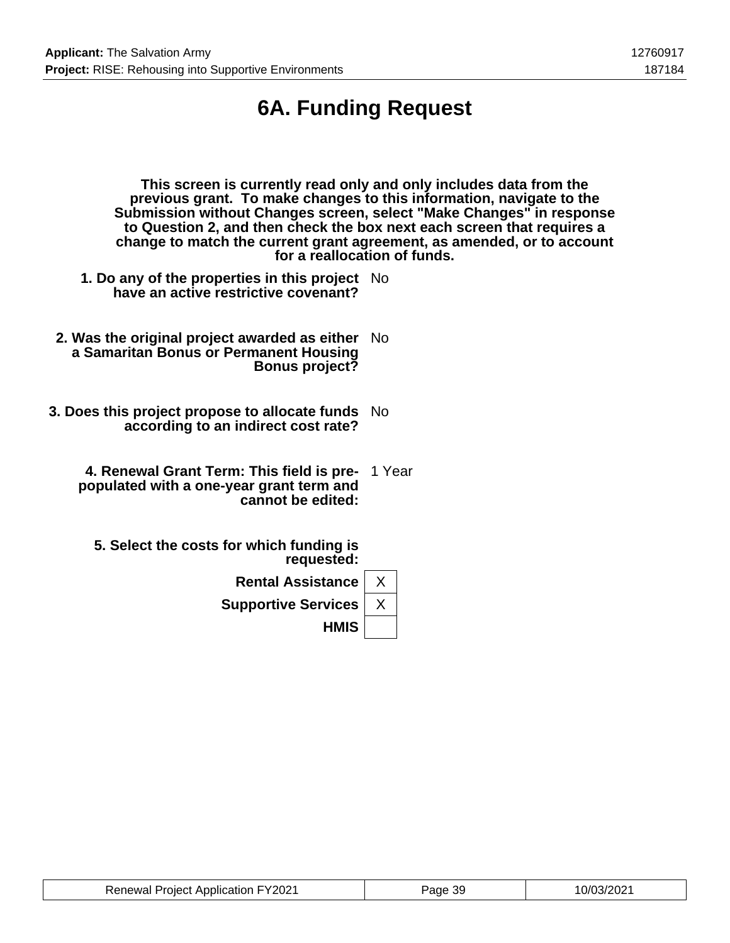# **6A. Funding Request**

| This screen is currently read only and only includes data from the<br>previous grant. To make changes to this information, navigate to the<br>Submission without Changes screen, select "Make Changes" in response<br>to Question 2, and then check the box next each screen that requires a<br>change to match the current grant agreement, as amended, or to account<br>for a reallocation of funds. |     |  |  |  |  |  |
|--------------------------------------------------------------------------------------------------------------------------------------------------------------------------------------------------------------------------------------------------------------------------------------------------------------------------------------------------------------------------------------------------------|-----|--|--|--|--|--|
| 1. Do any of the properties in this project No<br>have an active restrictive covenant?                                                                                                                                                                                                                                                                                                                 |     |  |  |  |  |  |
| 2. Was the original project awarded as either<br>a Samaritan Bonus or Permanent Housing<br><b>Bonus project?</b>                                                                                                                                                                                                                                                                                       | No. |  |  |  |  |  |
| 3. Does this project propose to allocate funds No<br>according to an indirect cost rate?                                                                                                                                                                                                                                                                                                               |     |  |  |  |  |  |
| 4. Renewal Grant Term: This field is pre- 1 Year<br>populated with a one-year grant term and<br>cannot be edited:                                                                                                                                                                                                                                                                                      |     |  |  |  |  |  |
| 5. Select the costs for which funding is<br>requested:                                                                                                                                                                                                                                                                                                                                                 |     |  |  |  |  |  |
| <b>Rental Assistance</b>                                                                                                                                                                                                                                                                                                                                                                               | X   |  |  |  |  |  |
| <b>Supportive Services</b>                                                                                                                                                                                                                                                                                                                                                                             | X   |  |  |  |  |  |

**HMIS**

Renewal Project Application FY2021 | Page 39 | 10/03/2021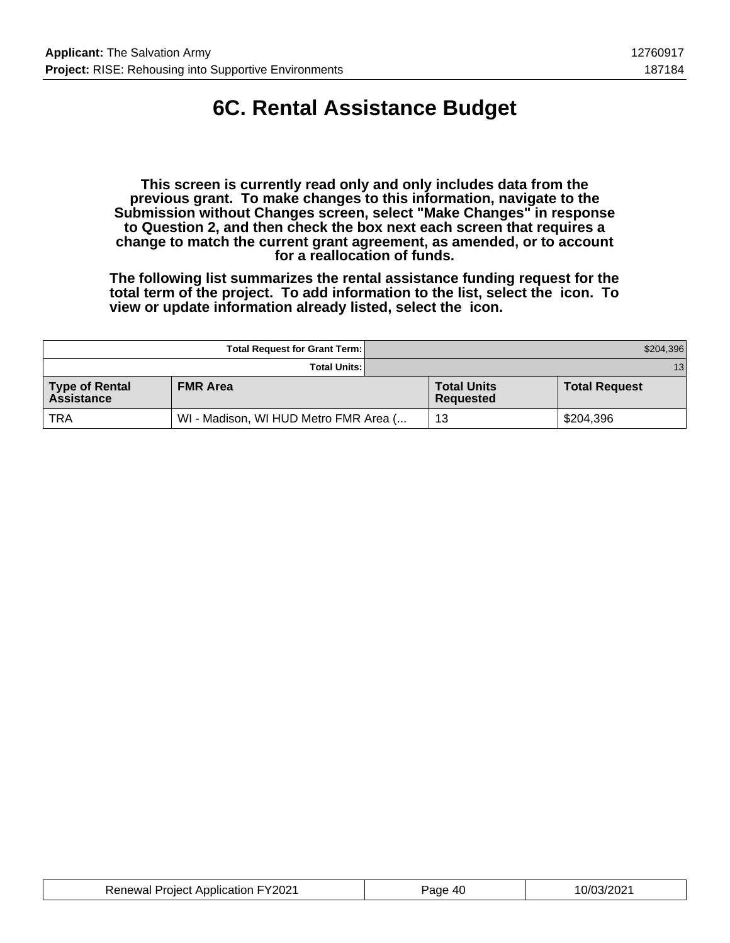# **6C. Rental Assistance Budget**

**This screen is currently read only and only includes data from the previous grant. To make changes to this information, navigate to the Submission without Changes screen, select "Make Changes" in response to Question 2, and then check the box next each screen that requires a change to match the current grant agreement, as amended, or to account for a reallocation of funds.**

**The following list summarizes the rental assistance funding request for the total term of the project. To add information to the list, select the icon. To view or update information already listed, select the icon.**

|                                     | <b>Total Request for Grant Term:</b>  |                                 | \$204,396            |
|-------------------------------------|---------------------------------------|---------------------------------|----------------------|
|                                     | <b>Total Units:</b>                   |                                 | 13 <sub>1</sub>      |
| Type of Rental<br><b>Assistance</b> | <b>FMR Area</b>                       | <b>Total Units</b><br>Requested | <b>Total Request</b> |
| <b>TRA</b>                          | WI - Madison, WI HUD Metro FMR Area ( | 13                              | \$204,396            |

| <b>Renewal Project Application FY2021</b> | Page 40 | 10/03/2021 |
|-------------------------------------------|---------|------------|
|-------------------------------------------|---------|------------|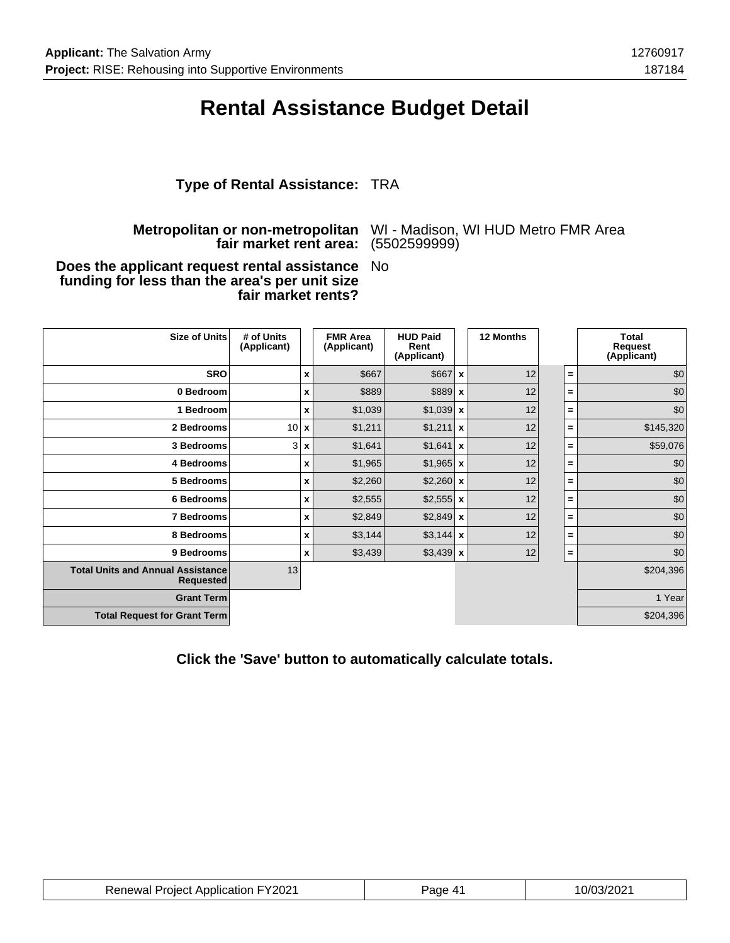### **Rental Assistance Budget Detail**

### **Type of Rental Assistance:** TRA

#### **Metropolitan or non-metropolitan fair market rent area:**

WI - Madison, WI HUD Metro FMR Area (5502599999)

#### **Does the applicant request rental assistance funding for less than the area's per unit size fair market rents?** No

| <b>Size of Units</b>                                         | # of Units<br>(Applicant) |                           | <b>FMR Area</b><br>(Applicant) | <b>HUD Paid</b><br>Rent<br>(Applicant) | 12 Months |          | <b>Total</b><br>Request<br>(Applicant) |
|--------------------------------------------------------------|---------------------------|---------------------------|--------------------------------|----------------------------------------|-----------|----------|----------------------------------------|
| <b>SRO</b>                                                   |                           | $\boldsymbol{\mathsf{x}}$ | \$667                          | $$667$ $\times$                        | 12        | $=$      | \$0                                    |
| 0 Bedroom                                                    |                           | X                         | \$889                          | $$889$ $x$                             | 12        | =        | \$0                                    |
| 1 Bedroom                                                    |                           | X                         | \$1,039                        | $$1,039$ x                             | 12        | $=$      | \$0                                    |
| 2 Bedrooms                                                   | $10\mathbf{x}$            |                           | \$1,211                        | $$1,211$ x                             | 12        | =        | \$145,320                              |
| 3 Bedrooms                                                   | $\overline{3}$            | $\boldsymbol{\mathsf{x}}$ | \$1,641                        | $$1,641$ x                             | 12        | =        | \$59,076                               |
| 4 Bedrooms                                                   |                           | X                         | \$1,965                        | $$1,965$ x                             | 12        | =        | \$0                                    |
| 5 Bedrooms                                                   |                           | X                         | \$2,260                        | $$2,260$ x                             | 12        | $=$      | \$0                                    |
| 6 Bedrooms                                                   |                           | $\boldsymbol{x}$          | \$2,555                        | $$2,555$ x                             | 12        | Ξ        | \$0                                    |
| 7 Bedrooms                                                   |                           | $\mathbf x$               | \$2,849                        | $$2,849$ x                             | 12        | $=$      | \$0                                    |
| 8 Bedrooms                                                   |                           | $\boldsymbol{x}$          | \$3,144                        | $$3,144$ x                             | 12        | $=$      | \$0                                    |
| 9 Bedrooms                                                   |                           | X                         | \$3,439                        | $$3,439$ x                             | 12        | $\equiv$ | \$0                                    |
| <b>Total Units and Annual Assistance</b><br><b>Requested</b> | 13                        |                           |                                |                                        |           |          | \$204,396                              |
| <b>Grant Term</b>                                            |                           |                           |                                |                                        |           |          | 1 Year                                 |
| <b>Total Request for Grant Term</b>                          |                           |                           |                                |                                        |           |          | \$204,396                              |

**Click the 'Save' button to automatically calculate totals.**

| <b>Renewal Project Application FY2021</b> | Page ∈ | 10/03/2021 |
|-------------------------------------------|--------|------------|
|-------------------------------------------|--------|------------|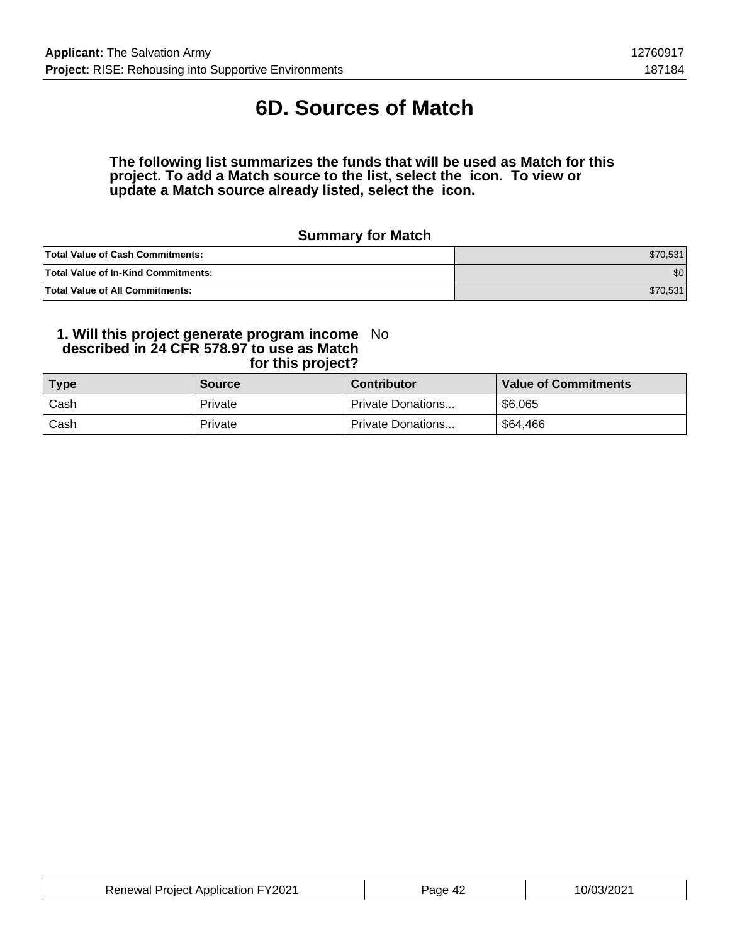# **6D. Sources of Match**

#### **The following list summarizes the funds that will be used as Match for this project. To add a Match source to the list, select the icon. To view or update a Match source already listed, select the icon.**

### **Summary for Match**

| <b>Total Value of Cash Commitments:</b>    | \$70,531 |
|--------------------------------------------|----------|
| <b>Total Value of In-Kind Commitments:</b> | \$0      |
| <b>Total Value of All Commitments:</b>     | \$70,531 |

#### **1. Will this project generate program income described in 24 CFR 578.97 to use as Match for this project?** No

| <b>Type</b> | <b>Source</b> | <b>Contributor</b> | <b>Value of Commitments</b> |
|-------------|---------------|--------------------|-----------------------------|
| Cash        | Private       | Private Donations  | \$6,065                     |
| Cash        | Private       | Private Donations  | \$64,466                    |

| <b>Renewal Project Application FY2021</b> | Page 42 | 10/03/2021 |
|-------------------------------------------|---------|------------|
|-------------------------------------------|---------|------------|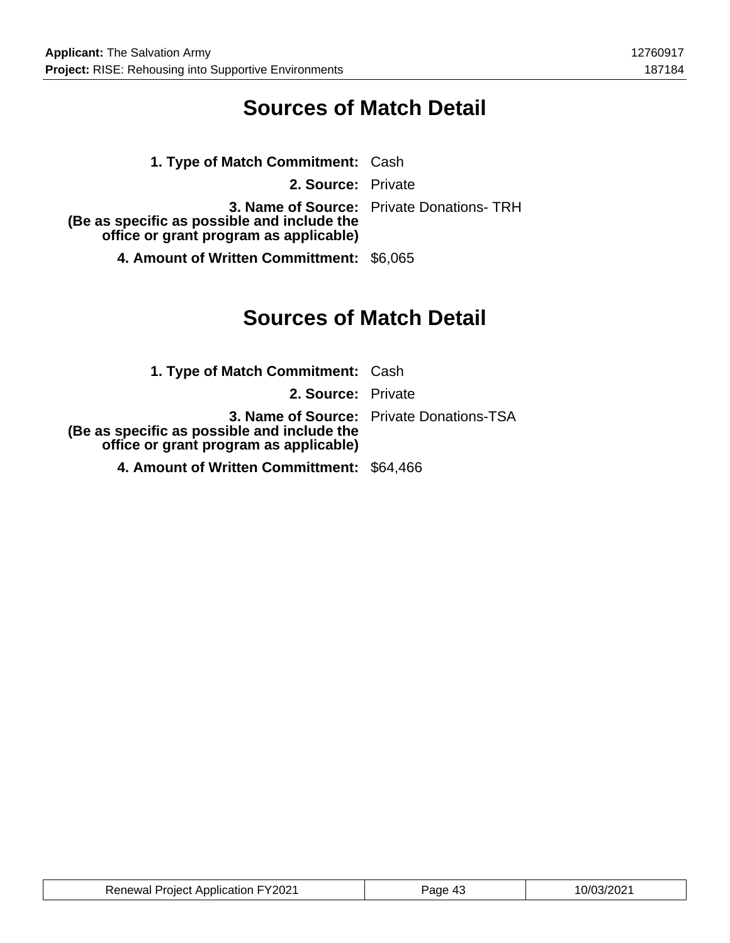### **Sources of Match Detail**

| 1. Type of Match Commitment: Cash                                                     |                                                 |
|---------------------------------------------------------------------------------------|-------------------------------------------------|
| 2. Source: Private                                                                    |                                                 |
| (Be as specific as possible and include the<br>office or grant program as applicable) | <b>3. Name of Source:</b> Private Donations-TRH |
| 4. Amount of Written Committment: \$6,065                                             |                                                 |

## **Sources of Match Detail**

| <b>1. Type of Match Commitment: Cash</b>                                              |                                                 |
|---------------------------------------------------------------------------------------|-------------------------------------------------|
| 2. Source: Private                                                                    |                                                 |
| (Be as specific as possible and include the<br>office or grant program as applicable) | <b>3. Name of Source:</b> Private Donations-TSA |
| 4. Amount of Written Committment: \$64,466                                            |                                                 |

| <b>Renewal Project Application FY2021</b> | Page 43 | 10/03/2021 |
|-------------------------------------------|---------|------------|
|-------------------------------------------|---------|------------|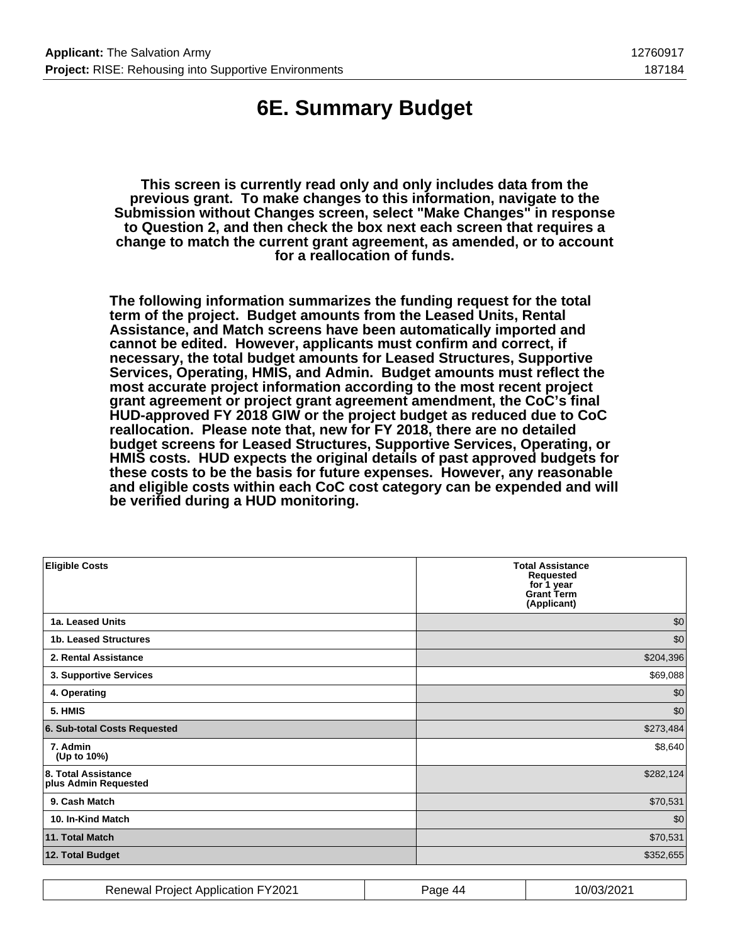## **6E. Summary Budget**

**This screen is currently read only and only includes data from the previous grant. To make changes to this information, navigate to the Submission without Changes screen, select "Make Changes" in response to Question 2, and then check the box next each screen that requires a change to match the current grant agreement, as amended, or to account for a reallocation of funds.**

**The following information summarizes the funding request for the total term of the project. Budget amounts from the Leased Units, Rental Assistance, and Match screens have been automatically imported and cannot be edited. However, applicants must confirm and correct, if necessary, the total budget amounts for Leased Structures, Supportive Services, Operating, HMIS, and Admin. Budget amounts must reflect the most accurate project information according to the most recent project grant agreement or project grant agreement amendment, the CoC's final HUD-approved FY 2018 GIW or the project budget as reduced due to CoC reallocation. Please note that, new for FY 2018, there are no detailed budget screens for Leased Structures, Supportive Services, Operating, or HMIS costs. HUD expects the original details of past approved budgets for these costs to be the basis for future expenses. However, any reasonable and eligible costs within each CoC cost category can be expended and will be verified during a HUD monitoring.**

| <b>Eligible Costs</b>                       | <b>Total Assistance</b><br>Requested<br>for 1 year<br><b>Grant Term</b><br>(Applicant) |
|---------------------------------------------|----------------------------------------------------------------------------------------|
| 1a. Leased Units                            | \$0                                                                                    |
| 1b. Leased Structures                       | \$0                                                                                    |
| 2. Rental Assistance                        | \$204,396                                                                              |
| 3. Supportive Services                      | \$69,088                                                                               |
| 4. Operating                                | \$0                                                                                    |
| 5. HMIS                                     | \$0                                                                                    |
| 6. Sub-total Costs Requested                | \$273,484                                                                              |
| 7. Admin<br>(Up to 10%)                     | \$8,640                                                                                |
| 8. Total Assistance<br>plus Admin Requested | \$282,124                                                                              |
| 9. Cash Match                               | \$70,531                                                                               |
| 10. In-Kind Match                           | \$0                                                                                    |
| 11. Total Match                             | \$70,531                                                                               |
| 12. Total Budget                            | \$352,655                                                                              |

| Renewal Project Application FY2021 | Page<br>-44 | 10/03/2021 |
|------------------------------------|-------------|------------|
|------------------------------------|-------------|------------|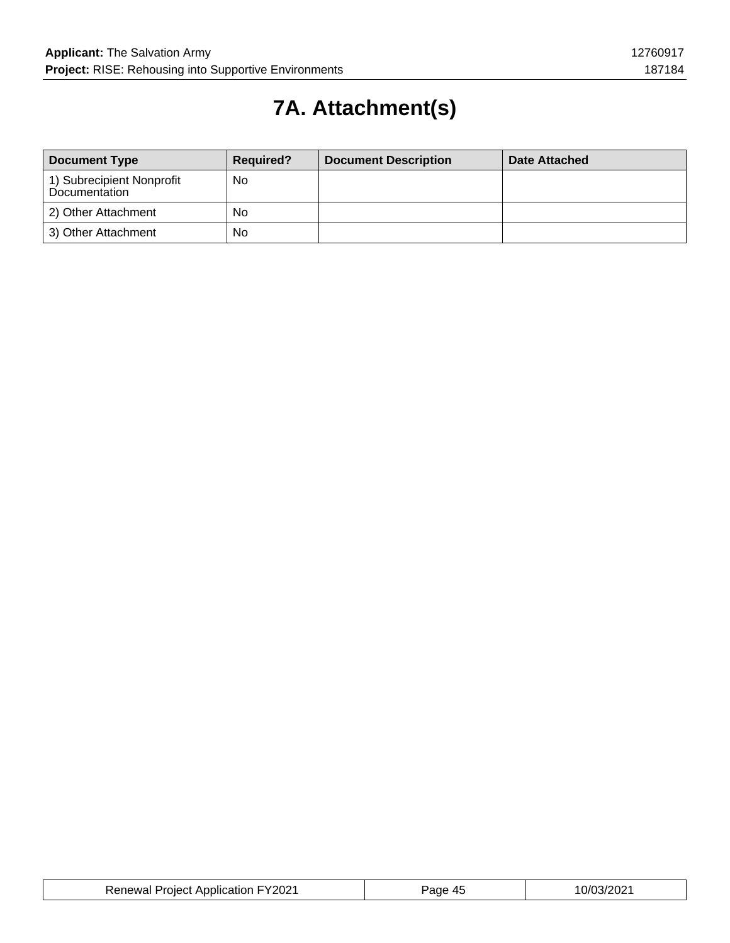# **7A. Attachment(s)**

| <b>Document Type</b>                       | <b>Required?</b> | <b>Document Description</b> | Date Attached |
|--------------------------------------------|------------------|-----------------------------|---------------|
| 1) Subrecipient Nonprofit<br>Documentation | No               |                             |               |
| 2) Other Attachment                        | No               |                             |               |
| 3) Other Attachment                        | No               |                             |               |

| <b>Renewal Project Application FY2021</b> | Page 45 | 10/03/2021 |
|-------------------------------------------|---------|------------|
|-------------------------------------------|---------|------------|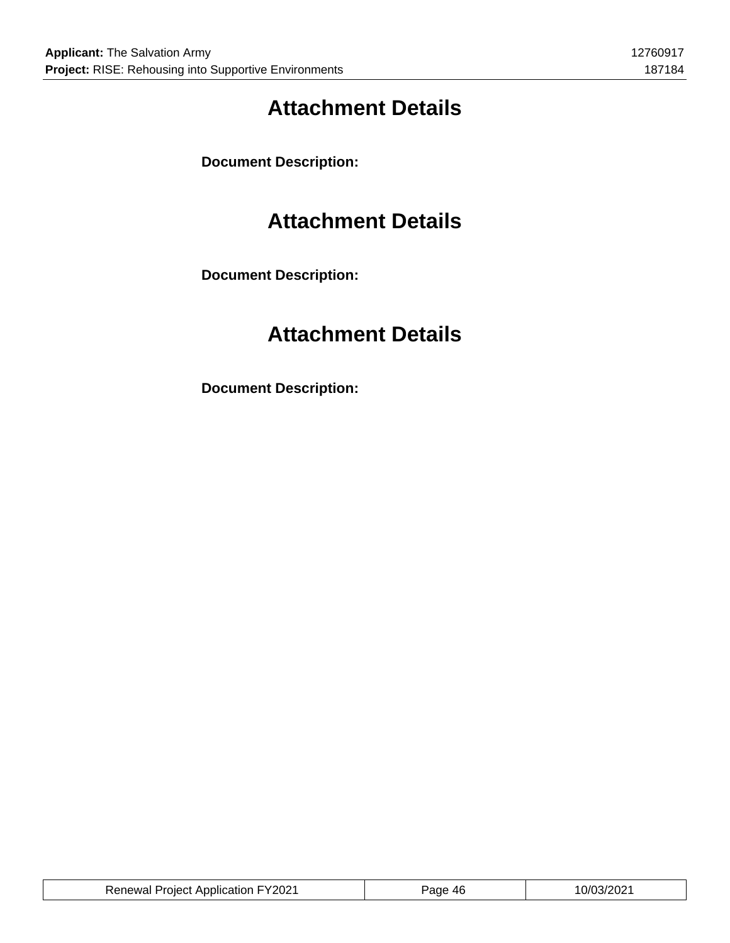# **Attachment Details**

**Document Description:**

### **Attachment Details**

**Document Description:**

# **Attachment Details**

**Document Description:**

| <b>Renewal Project Application FY2021</b> | Page 46 | 10/03/2021 |
|-------------------------------------------|---------|------------|
|                                           |         |            |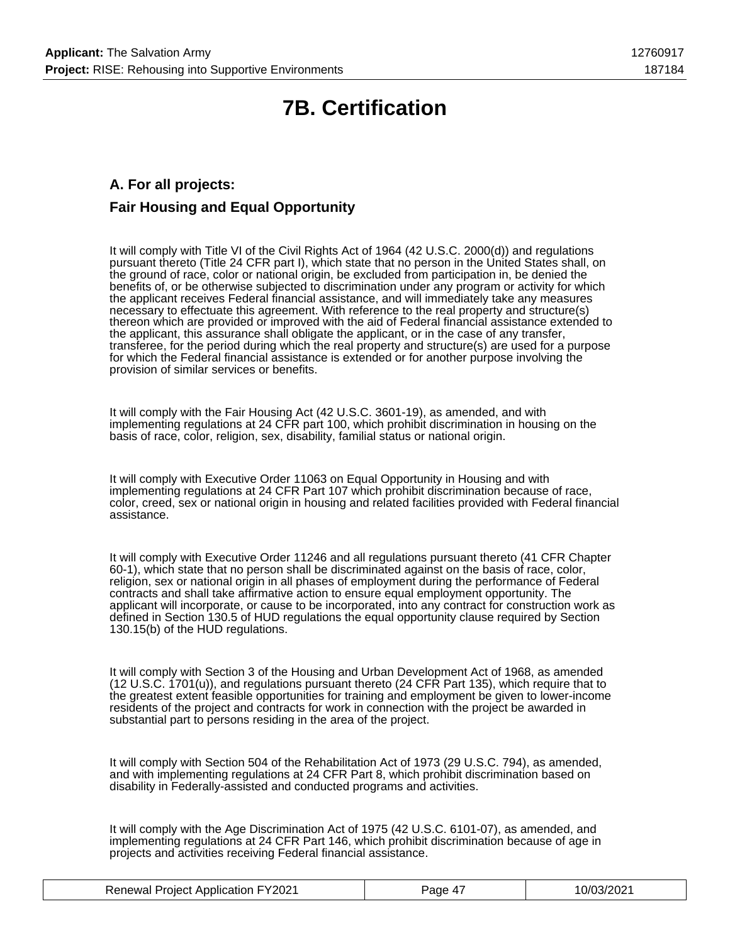# **7B. Certification**

### **A. For all projects: Fair Housing and Equal Opportunity**

It will comply with Title VI of the Civil Rights Act of 1964 (42 U.S.C. 2000(d)) and regulations pursuant thereto (Title 24 CFR part I), which state that no person in the United States shall, on the ground of race, color or national origin, be excluded from participation in, be denied the benefits of, or be otherwise subjected to discrimination under any program or activity for which the applicant receives Federal financial assistance, and will immediately take any measures necessary to effectuate this agreement. With reference to the real property and structure(s) thereon which are provided or improved with the aid of Federal financial assistance extended to the applicant, this assurance shall obligate the applicant, or in the case of any transfer, transferee, for the period during which the real property and structure(s) are used for a purpose for which the Federal financial assistance is extended or for another purpose involving the provision of similar services or benefits.

It will comply with the Fair Housing Act (42 U.S.C. 3601-19), as amended, and with implementing regulations at 24 CFR part 100, which prohibit discrimination in housing on the basis of race, color, religion, sex, disability, familial status or national origin.

It will comply with Executive Order 11063 on Equal Opportunity in Housing and with implementing regulations at 24 CFR Part 107 which prohibit discrimination because of race, color, creed, sex or national origin in housing and related facilities provided with Federal financial assistance.

It will comply with Executive Order 11246 and all regulations pursuant thereto (41 CFR Chapter 60-1), which state that no person shall be discriminated against on the basis of race, color, religion, sex or national origin in all phases of employment during the performance of Federal contracts and shall take affirmative action to ensure equal employment opportunity. The applicant will incorporate, or cause to be incorporated, into any contract for construction work as defined in Section 130.5 of HUD regulations the equal opportunity clause required by Section 130.15(b) of the HUD regulations.

It will comply with Section 3 of the Housing and Urban Development Act of 1968, as amended (12 U.S.C. 1701(u)), and regulations pursuant thereto (24 CFR Part 135), which require that to the greatest extent feasible opportunities for training and employment be given to lower-income residents of the project and contracts for work in connection with the project be awarded in substantial part to persons residing in the area of the project.

It will comply with Section 504 of the Rehabilitation Act of 1973 (29 U.S.C. 794), as amended, and with implementing regulations at 24 CFR Part 8, which prohibit discrimination based on disability in Federally-assisted and conducted programs and activities.

It will comply with the Age Discrimination Act of 1975 (42 U.S.C. 6101-07), as amended, and implementing regulations at 24 CFR Part 146, which prohibit discrimination because of age in projects and activities receiving Federal financial assistance.

| <b>Renewal Project Application FY2021</b> | Page 47 | 10/03/2021 |
|-------------------------------------------|---------|------------|
|-------------------------------------------|---------|------------|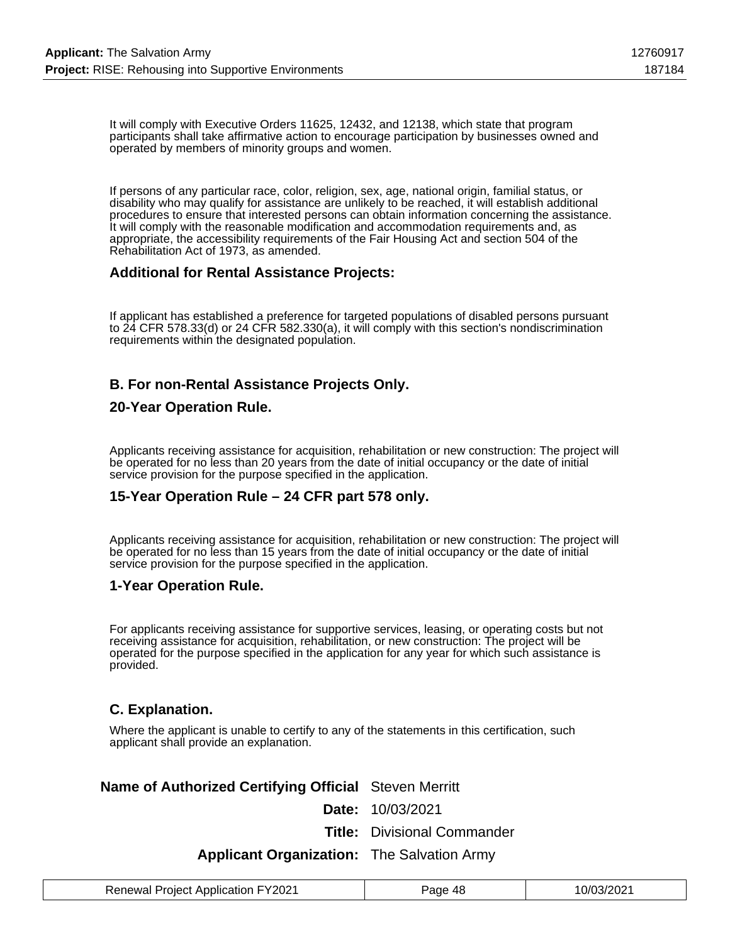It will comply with Executive Orders 11625, 12432, and 12138, which state that program participants shall take affirmative action to encourage participation by businesses owned and operated by members of minority groups and women.

If persons of any particular race, color, religion, sex, age, national origin, familial status, or disability who may qualify for assistance are unlikely to be reached, it will establish additional procedures to ensure that interested persons can obtain information concerning the assistance. It will comply with the reasonable modification and accommodation requirements and, as appropriate, the accessibility requirements of the Fair Housing Act and section 504 of the Rehabilitation Act of 1973, as amended.

### **Additional for Rental Assistance Projects:**

If applicant has established a preference for targeted populations of disabled persons pursuant to 24 CFR 578.33(d) or 24 CFR 582.330(a), it will comply with this section's nondiscrimination requirements within the designated population.

### **B. For non-Rental Assistance Projects Only.**

#### **20-Year Operation Rule.**

Applicants receiving assistance for acquisition, rehabilitation or new construction: The project will be operated for no less than 20 years from the date of initial occupancy or the date of initial service provision for the purpose specified in the application.

### **15-Year Operation Rule – 24 CFR part 578 only.**

Applicants receiving assistance for acquisition, rehabilitation or new construction: The project will be operated for no less than 15 years from the date of initial occupancy or the date of initial service provision for the purpose specified in the application.

#### **1-Year Operation Rule.**

For applicants receiving assistance for supportive services, leasing, or operating costs but not receiving assistance for acquisition, rehabilitation, or new construction: The project will be operated for the purpose specified in the application for any year for which such assistance is provided.

#### **C. Explanation.**

Where the applicant is unable to certify to any of the statements in this certification, such applicant shall provide an explanation.

#### **Name of Authorized Certifying Official** Steven Merritt

**Date:** 10/03/2021

**Title:** Divisional Commander

#### **Applicant Organization:** The Salvation Army

| <b>Renewal Project Application FY2021</b> | Page 48 | 10/03/2021 |
|-------------------------------------------|---------|------------|
|-------------------------------------------|---------|------------|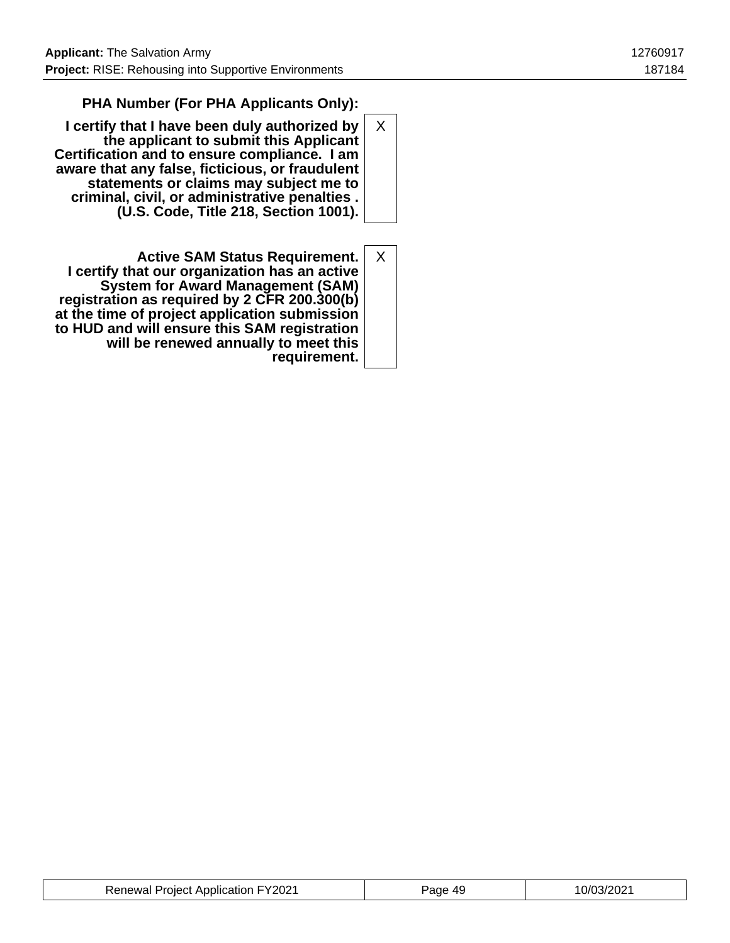### **PHA Number (For PHA Applicants Only):**

- **I certify that I have been duly authorized by the applicant to submit this Applicant Certification and to ensure compliance. I am aware that any false, ficticious, or fraudulent statements or claims may subject me to criminal, civil, or administrative penalties . (U.S. Code, Title 218, Section 1001).** X
- **Active SAM Status Requirement. I certify that our organization has an active System for Award Management (SAM) registration as required by 2 CFR 200.300(b) at the time of project application submission to HUD and will ensure this SAM registration will be renewed annually to meet this requirement.** X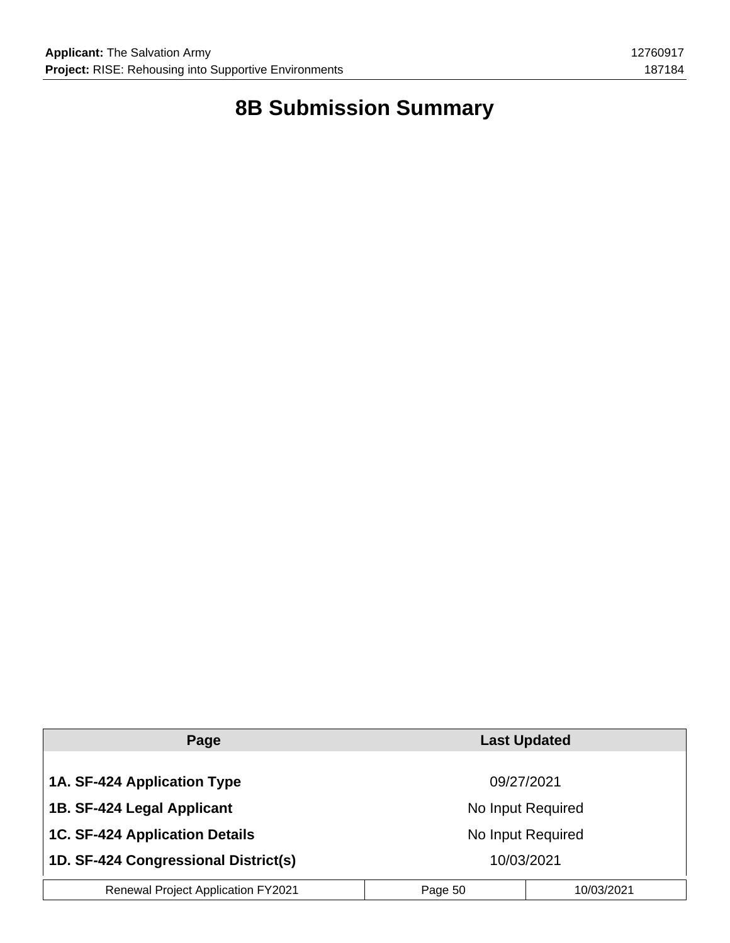# **8B Submission Summary**

| Page                                      | <b>Last Updated</b> |            |
|-------------------------------------------|---------------------|------------|
|                                           |                     |            |
| 1A. SF-424 Application Type               | 09/27/2021          |            |
| 1B. SF-424 Legal Applicant                | No Input Required   |            |
| <b>1C. SF-424 Application Details</b>     | No Input Required   |            |
| 1D. SF-424 Congressional District(s)      | 10/03/2021          |            |
| <b>Renewal Project Application FY2021</b> | Page 50             | 10/03/2021 |